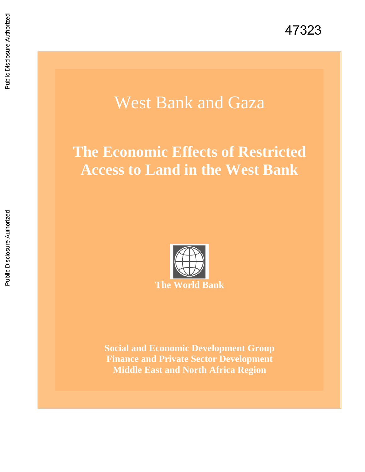# West Bank and Gaza

# **The Economic Effects of Restricted Access to Land in the West Bank**



**Social and Economic Development Group Finance and Private Sector Development Middle East and North Africa Region**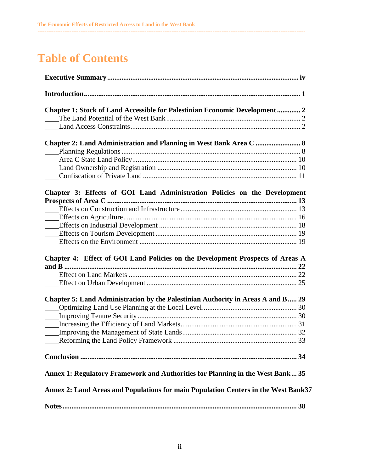## **Table of Contents**

| <b>Chapter 1: Stock of Land Accessible for Palestinian Economic Development  2</b>  |  |
|-------------------------------------------------------------------------------------|--|
|                                                                                     |  |
|                                                                                     |  |
|                                                                                     |  |
|                                                                                     |  |
|                                                                                     |  |
|                                                                                     |  |
|                                                                                     |  |
|                                                                                     |  |
| Chapter 3: Effects of GOI Land Administration Policies on the Development           |  |
|                                                                                     |  |
|                                                                                     |  |
|                                                                                     |  |
|                                                                                     |  |
|                                                                                     |  |
|                                                                                     |  |
|                                                                                     |  |
| Chapter 4: Effect of GOI Land Policies on the Development Prospects of Areas A      |  |
|                                                                                     |  |
|                                                                                     |  |
|                                                                                     |  |
| Chapter 5: Land Administration by the Palestinian Authority in Areas A and B 29     |  |
|                                                                                     |  |
|                                                                                     |  |
|                                                                                     |  |
|                                                                                     |  |
|                                                                                     |  |
|                                                                                     |  |
|                                                                                     |  |
| Annex 1: Regulatory Framework and Authorities for Planning in the West Bank 35      |  |
| Annex 2: Land Areas and Populations for main Population Centers in the West Bank 37 |  |
|                                                                                     |  |
|                                                                                     |  |

**------------------------------------------------------------------------------------------------------------------------------------------------------**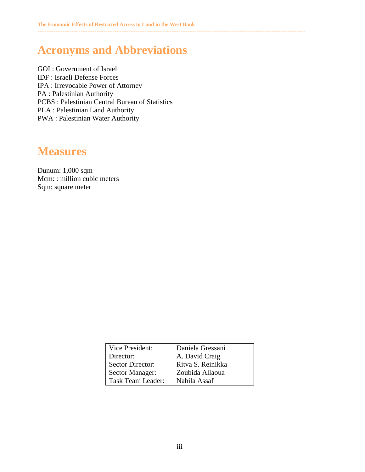## **Acronyms and Abbreviations**

GOI : Government of Israel IDF : Israeli Defense Forces IPA : Irrevocable Power of Attorney PA : Palestinian Authority PCBS : Palestinian Central Bureau of Statistics PLA : Palestinian Land Authority PWA : Palestinian Water Authority

## **Measures**

Dunum: 1,000 sqm Mcm: : million cubic meters Sqm: square meter

| Vice President:         | Daniela Gressani  |
|-------------------------|-------------------|
| Director:               | A. David Craig    |
| <b>Sector Director:</b> | Ritva S. Reinikka |
| <b>Sector Manager:</b>  | Zoubida Allaoua   |
| Task Team Leader:       | Nabila Assaf      |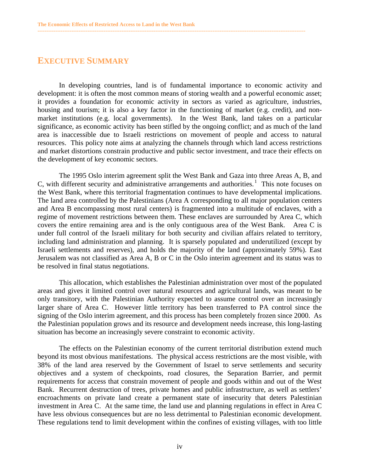### **EXECUTIVE SUMMARY**

 In developing countries, land is of fundamental importance to economic activity and development: it is often the most common means of storing wealth and a powerful economic asset; it provides a foundation for economic activity in sectors as varied as agriculture, industries, housing and tourism; it is also a key factor in the functioning of market (e.g. credit), and nonmarket institutions (e.g. local governments). In the West Bank, land takes on a particular significance, as economic activity has been stifled by the ongoing conflict; and as much of the land area is inaccessible due to Israeli restrictions on movement of people and access to natural resources. This policy note aims at analyzing the channels through which land access restrictions and market distortions constrain productive and public sector investment, and trace their effects on the development of key economic sectors.

<span id="page-3-0"></span>**------------------------------------------------------------------------------------------------------------------------------------------------------** 

The 1995 Oslo interim agreement split the West Bank and Gaza into three Areas A, B, and C, with different security and administrative arrangements and authorities.<sup>1</sup> This note focuses on the West Bank, where this territorial fragmentation continues to have developmental implications. The land area controlled by the Palestinians (Area A corresponding to all major population centers and Area B encompassing most rural centers) is fragmented into a multitude of enclaves, with a regime of movement restrictions between them. These enclaves are surrounded by Area C, which covers the entire remaining area and is the only contiguous area of the West Bank. Area C is under full control of the Israeli military for both security and civilian affairs related to territory, including land administration and planning. It is sparsely populated and underutilized (except by Israeli settlements and reserves), and holds the majority of the land (approximately 59%). East Jerusalem was not classified as Area A, B or C in the Oslo interim agreement and its status was to be resolved in final status negotiations.

This allocation, which establishes the Palestinian administration over most of the populated areas and gives it limited control over natural resources and agricultural lands, was meant to be only transitory, with the Palestinian Authority expected to assume control over an increasingly larger share of Area C. However little territory has been transferred to PA control since the signing of the Oslo interim agreement, and this process has been completely frozen since 2000. As the Palestinian population grows and its resource and development needs increase, this long-lasting situation has become an increasingly severe constraint to economic activity.

 The effects on the Palestinian economy of the current territorial distribution extend much beyond its most obvious manifestations. The physical access restrictions are the most visible, with 38% of the land area reserved by the Government of Israel to serve settlements and security objectives and a system of checkpoints, road closures, the Separation Barrier, and permit requirements for access that constrain movement of people and goods within and out of the West Bank. Recurrent destruction of trees, private homes and public infrastructure, as well as settlers' encroachments on private land create a permanent state of insecurity that deters Palestinian investment in Area C. At the same time, the land use and planning regulations in effect in Area C have less obvious consequences but are no less detrimental to Palestinian economic development. These regulations tend to limit development within the confines of existing villages, with too little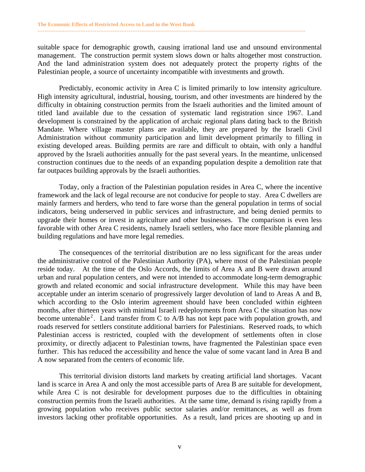suitable space for demographic growth, causing irrational land use and unsound environmental management. The construction permit system slows down or halts altogether most construction. And the land administration system does not adequately protect the property rights of the Palestinian people, a source of uncertainty incompatible with investments and growth.

**------------------------------------------------------------------------------------------------------------------------------------------------------** 

Predictably, economic activity in Area C is limited primarily to low intensity agriculture. High intensity agricultural, industrial, housing, tourism, and other investments are hindered by the difficulty in obtaining construction permits from the Israeli authorities and the limited amount of titled land available due to the cessation of systematic land registration since 1967. Land development is constrained by the application of archaic regional plans dating back to the British Mandate. Where village master plans are available, they are prepared by the Israeli Civil Administration without community participation and limit development primarily to filling in existing developed areas. Building permits are rare and difficult to obtain, with only a handful approved by the Israeli authorities annually for the past several years. In the meantime, unlicensed construction continues due to the needs of an expanding population despite a demolition rate that far outpaces building approvals by the Israeli authorities.

Today, only a fraction of the Palestinian population resides in Area C, where the incentive framework and the lack of legal recourse are not conducive for people to stay. Area C dwellers are mainly farmers and herders, who tend to fare worse than the general population in terms of social indicators, being underserved in public services and infrastructure, and being denied permits to upgrade their homes or invest in agriculture and other businesses. The comparison is even less favorable with other Area C residents, namely Israeli settlers, who face more flexible planning and building regulations and have more legal remedies.

 The consequences of the territorial distribution are no less significant for the areas under the administrative control of the Palestinian Authority (PA), where most of the Palestinian people reside today. At the time of the Oslo Accords, the limits of Area A and B were drawn around urban and rural population centers, and were not intended to accommodate long-term demographic growth and related economic and social infrastructure development. While this may have been acceptable under an interim scenario of progressively larger devolution of land to Areas A and B, which according to the Oslo interim agreement should have been concluded within eighteen months, after thirteen years with minimal Israeli redeployments from Area C the situation has now become untenable<sup>2</sup>. Land transfer from C to A/B has not kept pace with population growth, and roads reserved for settlers constitute additional barriers for Palestinians. Reserved roads, to which Palestinian access is restricted, coupled with the development of settlements often in close proximity, or directly adjacent to Palestinian towns, have fragmented the Palestinian space even further. This has reduced the accessibility and hence the value of some vacant land in Area B and A now separated from the centers of economic life.

 This territorial division distorts land markets by creating artificial land shortages. Vacant land is scarce in Area A and only the most accessible parts of Area B are suitable for development, while Area C is not desirable for development purposes due to the difficulties in obtaining construction permits from the Israeli authorities. At the same time, demand is rising rapidly from a growing population who receives public sector salaries and/or remittances, as well as from investors lacking other profitable opportunities. As a result, land prices are shooting up and in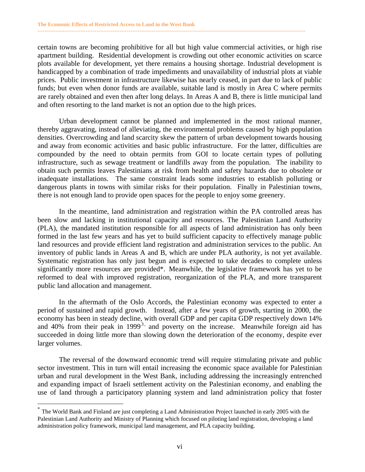certain towns are becoming prohibitive for all but high value commercial activities, or high rise apartment building. Residential development is crowding out other economic activities on scarce plots available for development, yet there remains a housing shortage. Industrial development is handicapped by a combination of trade impediments and unavailability of industrial plots at viable prices. Public investment in infrastructure likewise has nearly ceased, in part due to lack of public funds; but even when donor funds are available, suitable land is mostly in Area C where permits are rarely obtained and even then after long delays. In Areas A and B, there is little municipal land and often resorting to the land market is not an option due to the high prices.

**------------------------------------------------------------------------------------------------------------------------------------------------------** 

 Urban development cannot be planned and implemented in the most rational manner, thereby aggravating, instead of alleviating, the environmental problems caused by high population densities. Overcrowding and land scarcity skew the pattern of urban development towards housing and away from economic activities and basic public infrastructure. For the latter, difficulties are compounded by the need to obtain permits from GOI to locate certain types of polluting infrastructure, such as sewage treatment or landfills away from the population. The inability to obtain such permits leaves Palestinians at risk from health and safety hazards due to obsolete or inadequate installations. The same constraint leads some industries to establish polluting or dangerous plants in towns with similar risks for their population. Finally in Palestinian towns, there is not enough land to provide open spaces for the people to enjoy some greenery.

 In the meantime, land administration and registration within the PA controlled areas has been slow and lacking in institutional capacity and resources. The Palestinian Land Authority (PLA), the mandated institution responsible for all aspects of land administration has only been formed in the last few years and has yet to build sufficient capacity to effectively manage public land resources and provide efficient land registration and administration services to the public. An inventory of public lands in Areas A and B, which are under PLA authority, is not yet available. Systematic registration has only just begun and is expected to take decades to complete unless significantly more resources are provided\*. Meanwhile, the legislative framework has yet to be reformed to deal with improved registration, reorganization of the PLA, and more transparent public land allocation and management.

In the aftermath of the Oslo Accords, the Palestinian economy was expected to enter a period of sustained and rapid growth. Instead, after a few years of growth, starting in 2000, the economy has been in steady decline, with overall GDP and per capita GDP respectively down 14% and 40% from their peak in 1999<sup>3</sup>, and poverty on the increase. Meanwhile foreign aid has succeeded in doing little more than slowing down the deterioration of the economy, despite ever larger volumes.

 The reversal of the downward economic trend will require stimulating private and public sector investment. This in turn will entail increasing the economic space available for Palestinian urban and rural development in the West Bank, including addressing the increasingly entrenched and expanding impact of Israeli settlement activity on the Palestinian economy, and enabling the use of land through a participatory planning system and land administration policy that foster

 $\overline{a}$ 

The World Bank and Finland are just completing a Land Administration Project launched in early 2005 with the Palestinian Land Authority and Ministry of Planning which focused on piloting land registration, developing a land administration policy framework, municipal land management, and PLA capacity building.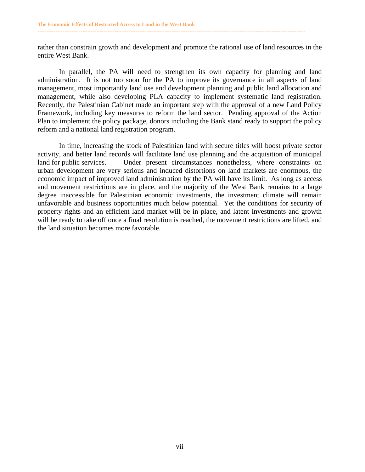rather than constrain growth and development and promote the rational use of land resources in the entire West Bank.

**------------------------------------------------------------------------------------------------------------------------------------------------------** 

 In parallel, the PA will need to strengthen its own capacity for planning and land administration. It is not too soon for the PA to improve its governance in all aspects of land management, most importantly land use and development planning and public land allocation and management, while also developing PLA capacity to implement systematic land registration. Recently, the Palestinian Cabinet made an important step with the approval of a new Land Policy Framework, including key measures to reform the land sector. Pending approval of the Action Plan to implement the policy package, donors including the Bank stand ready to support the policy reform and a national land registration program.

In time, increasing the stock of Palestinian land with secure titles will boost private sector activity, and better land records will facilitate land use planning and the acquisition of municipal land for public services. Under present circumstances nonetheless, where constraints on urban development are very serious and induced distortions on land markets are enormous, the economic impact of improved land administration by the PA will have its limit. As long as access and movement restrictions are in place, and the majority of the West Bank remains to a large degree inaccessible for Palestinian economic investments, the investment climate will remain unfavorable and business opportunities much below potential. Yet the conditions for security of property rights and an efficient land market will be in place, and latent investments and growth will be ready to take off once a final resolution is reached, the movement restrictions are lifted, and the land situation becomes more favorable.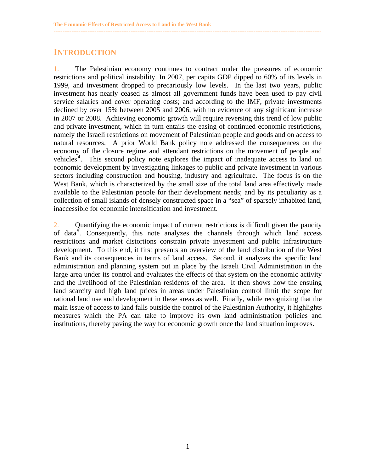### **INTRODUCTION**

1. The Palestinian economy continues to contract under the pressures of economic restrictions and political instability. In 2007, per capita GDP dipped to 60% of its levels in 1999, and investment dropped to precariously low levels. In the last two years, public investment has nearly ceased as almost all government funds have been used to pay civil service salaries and cover operating costs; and according to the IMF, private investments declined by over 15% between 2005 and 2006, with no evidence of any significant increase in 2007 or 2008. Achieving economic growth will require reversing this trend of low public and private investment, which in turn entails the easing of continued economic restrictions, namely the Israeli restrictions on movement of Palestinian people and goods and on access to natural resources. A prior World Bank policy note addressed the consequences on the economy of the closure regime and attendant restrictions on the movement of people and vehicles<sup>4</sup>. This second policy note explores the impact of inadequate access to land on economic development by investigating linkages to public and private investment in various sectors including construction and housing, industry and agriculture. The focus is on the West Bank, which is characterized by the small size of the total land area effectively made available to the Palestinian people for their development needs; and by its peculiarity as a collection of small islands of densely constructed space in a "sea" of sparsely inhabited land, inaccessible for economic intensification and investment.

<span id="page-7-0"></span>**------------------------------------------------------------------------------------------------------------------------------------------------------** 

2. Quantifying the economic impact of current restrictions is difficult given the paucity of data<sup>5</sup>. Consequently, this note analyzes the channels through which land access restrictions and market distortions constrain private investment and public infrastructure development. To this end, it first presents an overview of the land distribution of the West Bank and its consequences in terms of land access. Second, it analyzes the specific land administration and planning system put in place by the Israeli Civil Administration in the large area under its control and evaluates the effects of that system on the economic activity and the livelihood of the Palestinian residents of the area. It then shows how the ensuing land scarcity and high land prices in areas under Palestinian control limit the scope for rational land use and development in these areas as well. Finally, while recognizing that the main issue of access to land falls outside the control of the Palestinian Authority, it highlights measures which the PA can take to improve its own land administration policies and institutions, thereby paving the way for economic growth once the land situation improves.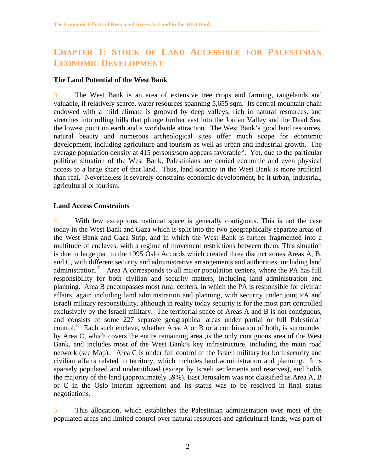## **CHAPTER 1: STOCK OF LAND ACCESSIBLE FOR PALESTINIAN ECONOMIC DEVELOPMENT**

<span id="page-8-0"></span>**------------------------------------------------------------------------------------------------------------------------------------------------------** 

#### **The Land Potential of the West Bank**

3. The West Bank is an area of extensive tree crops and farming, rangelands and valuable, if relatively scarce, water resources spanning 5,655 sqm. Its central mountain chain endowed with a mild climate is grooved by deep valleys, rich in natural resources, and stretches into rolling hills that plunge further east into the Jordan Valley and the Dead Sea, the lowest point on earth and a worldwide attraction. The West Bank's good land resources, natural beauty and numerous archeological sites offer much scope for economic development, including agriculture and tourism as well as urban and industrial growth. The average population density at 415 persons/sqm appears favorable  $6$ . Yet, due to the particular political situation of the West Bank, Palestinians are denied economic and even physical access to a large share of that land. Thus, land scarcity in the West Bank is more artificial than real. Nevertheless it severely constrains economic development, be it urban, industrial, agricultural or tourism.

#### **Land Access Constraints**

4. With few exceptions, national space is generally contiguous. This is not the case today in the West Bank and Gaza which is split into the two geographically separate areas of the West Bank and Gaza Strip, and in which the West Bank is further fragmented into a multitude of enclaves, with a regime of movement restrictions between them. This situation is due in large part to the 1995 Oslo Accords which created three distinct zones Areas A, B, and C, with different security and administrative arrangements and authorities, including land administration.<sup>7</sup> Area A corresponds to all major population centers, where the PA has full responsibility for both civilian and security matters, including land administration and planning. Area B encompasses most rural centers, in which the PA is responsible for civilian affairs, again including land administration and planning, with security under joint PA and Israeli military responsibility, although in reality today security is for the most part controlled exclusively by the Israeli military. The territorial space of Areas A and B is not contiguous, and consists of some 227 separate geographical areas under partial or full Palestinian control.<sup>8</sup> Each such enclave, whether Area A or B or a combination of both, is surrounded by Area C, which covers the entire remaining area ,is the only contiguous area of the West Bank, and includes most of the West Bank's key infrastructure, including the main road network (see Map). Area C is under full control of the Israeli military for both security and civilian affairs related to territory, which includes land administration and planning. It is sparsely populated and underutilized (except by Israeli settlements and reserves), and holds the majority of the land (approximately 59%). East Jerusalem was not classified as Area A, B or C in the Oslo interim agreement and its status was to be resolved in final status negotiations.

5. This allocation, which establishes the Palestinian administration over most of the populated areas and limited control over natural resources and agricultural lands, was part of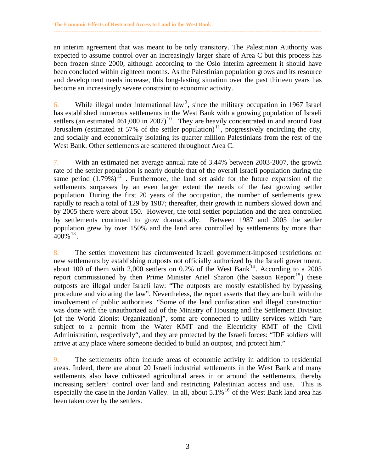an interim agreement that was meant to be only transitory. The Palestinian Authority was expected to assume control over an increasingly larger share of Area C but this process has been frozen since 2000, although according to the Oslo interim agreement it should have been concluded within eighteen months. As the Palestinian population grows and its resource and development needs increase, this long-lasting situation over the past thirteen years has become an increasingly severe constraint to economic activity.

**------------------------------------------------------------------------------------------------------------------------------------------------------** 

6. While illegal under international law<sup>9</sup>, since the military occupation in 1967 Israel has established numerous settlements in the West Bank with a growing population of Israeli settlers (an estimated  $461,000$  in  $2007$ )<sup>10</sup>. They are heavily concentrated in and around East Jerusalem (estimated at 57% of the settler population)<sup>11</sup>, progressively encircling the city, and socially and economically isolating its quarter million Palestinians from the rest of the West Bank. Other settlements are scattered throughout Area C.

7. With an estimated net average annual rate of 3.44% between 2003-2007, the growth rate of the settler population is nearly double that of the overall Israeli population during the same period  $(1.79\%)^{12}$ . Furthermore, the land set aside for the future expansion of the settlements surpasses by an even larger extent the needs of the fast growing settler population. During the first 20 years of the occupation, the number of settlements grew rapidly to reach a total of 129 by 1987; thereafter, their growth in numbers slowed down and by 2005 there were about 150. However, the total settler population and the area controlled by settlements continued to grow dramatically. Between 1987 and 2005 the settler population grew by over 150% and the land area controlled by settlements by more than  $400\%$ <sup>13</sup>.

8. The settler movement has circumvented Israeli government-imposed restrictions on new settlements by establishing outposts not officially authorized by the Israeli government, about 100 of them with  $2,000$  settlers on 0.2% of the West Bank<sup>14</sup>. According to a 2005 report commissioned by then Prime Minister Ariel Sharon (the Sasson Report<sup>15</sup>) these outposts are illegal under Israeli law: "The outposts are mostly established by bypassing procedure and violating the law". Nevertheless, the report asserts that they are built with the involvement of public authorities. "Some of the land confiscation and illegal construction was done with the unauthorized aid of the Ministry of Housing and the Settlement Division [of the World Zionist Organization]", some are connected to utility services which "are subject to a permit from the Water KMT and the Electricity KMT of the Civil Administration, respectively", and they are protected by the Israeli forces: "IDF soldiers will arrive at any place where someone decided to build an outpost, and protect him."

9. The settlements often include areas of economic activity in addition to residential areas. Indeed, there are about 20 Israeli industrial settlements in the West Bank and many settlements also have cultivated agricultural areas in or around the settlements, thereby increasing settlers' control over land and restricting Palestinian access and use. This is especially the case in the Jordan Valley. In all, about  $5.1\%$ <sup>16</sup> of the West Bank land area has been taken over by the settlers.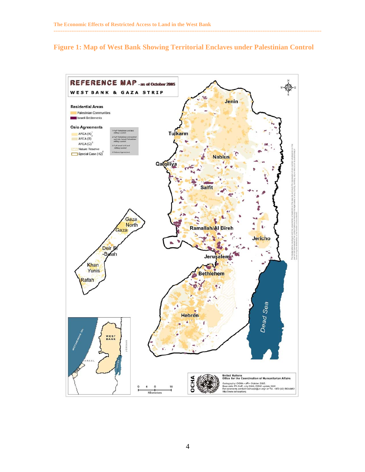#### **Figure 1: Map of West Bank Showing Territorial Enclaves under Palestinian Control**

**------------------------------------------------------------------------------------------------------------------------------------------------------** 

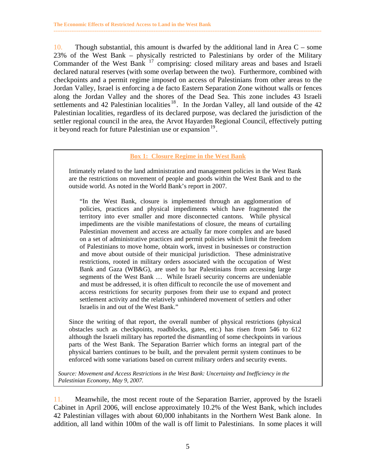10. Though substantial, this amount is dwarfed by the additional land in Area  $C$  – some 23% of the West Bank – physically restricted to Palestinians by order of the Military Commander of the West Bank <sup>17</sup> comprising: closed military areas and bases and Israeli declared natural reserves (with some overlap between the two). Furthermore, combined with checkpoints and a permit regime imposed on access of Palestinians from other areas to the Jordan Valley, Israel is enforcing a de facto Eastern Separation Zone without walls or fences along the Jordan Valley and the shores of the Dead Sea. This zone includes 43 Israeli settlements and 42 Palestinian localities<sup>18</sup>. In the Jordan Valley, all land outside of the 42 Palestinian localities, regardless of its declared purpose, was declared the jurisdiction of the settler regional council in the area, the Arvot Hayarden Regional Council, effectively putting it beyond reach for future Palestinian use or expansion  $19$ .

**------------------------------------------------------------------------------------------------------------------------------------------------------** 

#### **Box 1: Closure Regime in the West Bank**

 Intimately related to the land administration and management policies in the West Bank are the restrictions on movement of people and goods within the West Bank and to the outside world. As noted in the World Bank's report in 2007.

 "In the West Bank, closure is implemented through an agglomeration of policies, practices and physical impediments which have fragmented the territory into ever smaller and more disconnected cantons. While physical impediments are the visible manifestations of closure, the means of curtailing Palestinian movement and access are actually far more complex and are based on a set of administrative practices and permit policies which limit the freedom of Palestinians to move home, obtain work, invest in businesses or construction and move about outside of their municipal jurisdiction. These administrative restrictions, rooted in military orders associated with the occupation of West Bank and Gaza (WB&G), are used to bar Palestinians from accessing large segments of the West Bank … While Israeli security concerns are undeniable and must be addressed, it is often difficult to reconcile the use of movement and access restrictions for security purposes from their use to expand and protect settlement activity and the relatively unhindered movement of settlers and other Israelis in and out of the West Bank."

 Since the writing of that report, the overall number of physical restrictions (physical obstacles such as checkpoints, roadblocks, gates, etc.) has risen from 546 to 612 although the Israeli military has reported the dismantling of some checkpoints in various parts of the West Bank. The Separation Barrier which forms an integral part of the physical barriers continues to be built, and the prevalent permit system continues to be enforced with some variations based on current military orders and security events.

*Source: Movement and Access Restrictions in the West Bank: Uncertainty and Inefficiency in the Palestinian Economy, May 9, 2007.* 

11. Meanwhile, the most recent route of the Separation Barrier, approved by the Israeli Cabinet in April 2006, will enclose approximately 10.2% of the West Bank, which includes 42 Palestinian villages with about 60,000 inhabitants in the Northern West Bank alone. In addition, all land within 100m of the wall is off limit to Palestinians. In some places it will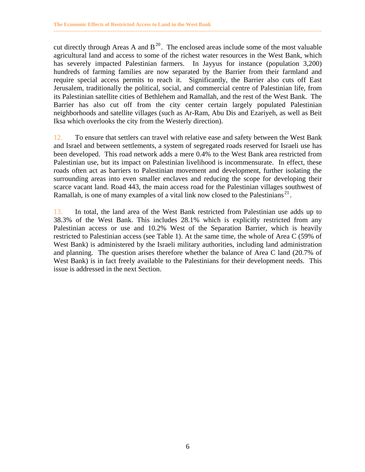cut directly through Areas A and  $B^{20}$ . The enclosed areas include some of the most valuable agricultural land and access to some of the richest water resources in the West Bank, which has severely impacted Palestinian farmers. In Jayyus for instance (population 3,200) hundreds of farming families are now separated by the Barrier from their farmland and require special access permits to reach it. Significantly, the Barrier also cuts off East Jerusalem, traditionally the political, social, and commercial centre of Palestinian life, from its Palestinian satellite cities of Bethlehem and Ramallah, and the rest of the West Bank. The Barrier has also cut off from the city center certain largely populated Palestinian neighborhoods and satellite villages (such as Ar-Ram, Abu Dis and Ezariyeh, as well as Beit Iksa which overlooks the city from the Westerly direction).

**------------------------------------------------------------------------------------------------------------------------------------------------------** 

12. To ensure that settlers can travel with relative ease and safety between the West Bank and Israel and between settlements, a system of segregated roads reserved for Israeli use has been developed. This road network adds a mere 0.4% to the West Bank area restricted from Palestinian use, but its impact on Palestinian livelihood is incommensurate. In effect, these roads often act as barriers to Palestinian movement and development, further isolating the surrounding areas into even smaller enclaves and reducing the scope for developing their scarce vacant land. Road 443, the main access road for the Palestinian villages southwest of Ramallah, is one of many examples of a vital link now closed to the Palestinians<sup>21</sup>.

13. In total, the land area of the West Bank restricted from Palestinian use adds up to 38.3% of the West Bank. This includes 28.1% which is explicitly restricted from any Palestinian access or use and 10.2% West of the Separation Barrier, which is heavily restricted to Palestinian access (see Table 1). At the same time, the whole of Area C (59% of West Bank) is administered by the Israeli military authorities, including land administration and planning. The question arises therefore whether the balance of Area C land (20.7% of West Bank) is in fact freely available to the Palestinians for their development needs. This issue is addressed in the next Section.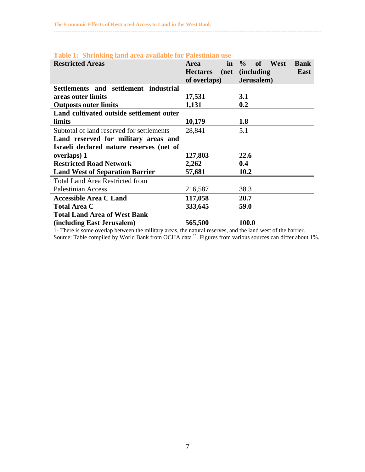| <b>Restricted Areas</b>                   | in<br><b>Area</b><br><b>Hectares</b><br>(net<br>of overlaps) | $\frac{0}{0}$<br>West<br>of<br><b>Bank</b><br><i>(including)</i><br><b>East</b><br>Jerusalem) |  |
|-------------------------------------------|--------------------------------------------------------------|-----------------------------------------------------------------------------------------------|--|
| Settlements and settlement industrial     |                                                              |                                                                                               |  |
| areas outer limits                        | 17,531                                                       | 3.1                                                                                           |  |
| <b>Outposts outer limits</b>              | 1,131<br>0.2                                                 |                                                                                               |  |
| Land cultivated outside settlement outer  |                                                              |                                                                                               |  |
| limits                                    | 10,179                                                       | 1.8                                                                                           |  |
| Subtotal of land reserved for settlements | 28,841                                                       | 5.1                                                                                           |  |
| Land reserved for military areas and      |                                                              |                                                                                               |  |
| Israeli declared nature reserves (net of  |                                                              |                                                                                               |  |
| overlaps) 1                               | 127,803                                                      | 22.6                                                                                          |  |
| <b>Restricted Road Network</b>            | 2,262                                                        | 0.4                                                                                           |  |
| <b>Land West of Separation Barrier</b>    | 57,681                                                       | 10.2                                                                                          |  |
| <b>Total Land Area Restricted from</b>    |                                                              |                                                                                               |  |
| <b>Palestinian Access</b>                 | 216,587                                                      | 38.3                                                                                          |  |
| <b>Accessible Area C Land</b>             | 117,058                                                      | 20.7                                                                                          |  |
| <b>Total Area C</b>                       | 333,645                                                      | 59.0                                                                                          |  |
| <b>Total Land Area of West Bank</b>       |                                                              |                                                                                               |  |
| (including East Jerusalem)                | 565,500                                                      | 100.0                                                                                         |  |

#### **Table 1: Shrinking land area available for Palestinian use**

1- There is some overlap between the military areas, the natural reserves, and the land west of the barrier. Source: Table compiled by World Bank from OCHA data<sup>22</sup> Figures from various sources can differ about 1%.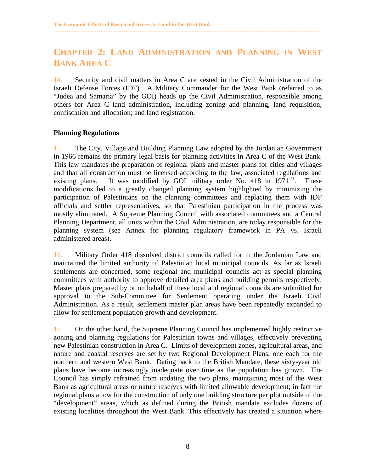## **CHAPTER 2: LAND ADMINISTRATION AND PLANNING IN WEST BANK AREA C**

<span id="page-14-0"></span>**------------------------------------------------------------------------------------------------------------------------------------------------------** 

14. Security and civil matters in Area C are vested in the Civil Administration of the Israeli Defense Forces (IDF). A Military Commander for the West Bank (referred to as "Judea and Samaria" by the GOI) heads up the Civil Administration, responsible among others for Area C land administration, including zoning and planning, land requisition, confiscation and allocation; and land registration.

#### **Planning Regulations**

15. The City, Village and Building Planning Law adopted by the Jordanian Government in 1966 remains the primary legal basis for planning activities in Area C of the West Bank. This law mandates the preparation of regional plans and master plans for cities and villages and that all construction must be licensed according to the law, associated regulations and existing plans. It was modified by GOI military order No. 418 in  $1971^{23}$ . These modifications led to a greatly changed planning system highlighted by minimizing the participation of Palestinians on the planning committees and replacing them with IDF officials and settler representatives, so that Palestinian participation in the process was mostly eliminated. A Supreme Planning Council with associated committees and a Central Planning Department, all units within the Civil Administration, are today responsible for the planning system (see Annex for planning regulatory framework in PA vs. Israeli administered areas).

16. Military Order 418 dissolved district councils called for in the Jordanian Law and maintained the limited authority of Palestinian local municipal councils. As far as Israeli settlements are concerned, some regional and municipal councils act as special planning committees with authority to approve detailed area plans and building permits respectively. Master plans prepared by or on behalf of these local and regional councils are submitted for approval to the Sub-Committee for Settlement operating under the Israeli Civil Administration. As a result, settlement master plan areas have been repeatedly expanded to allow for settlement population growth and development.

17. On the other hand, the Supreme Planning Council has implemented highly restrictive zoning and planning regulations for Palestinian towns and villages, effectively preventing new Palestinian construction in Area C. Limits of development zones, agricultural areas, and nature and coastal reserves are set by two Regional Development Plans, one each for the northern and western West Bank. Dating back to the British Mandate, these sixty-year old plans have become increasingly inadequate over time as the population has grown. The Council has simply refrained from updating the two plans, maintaining most of the West Bank as agricultural areas or nature reserves with limited allowable development; in fact the regional plans allow for the construction of only one building structure per plot outside of the "development" areas, which as defined during the British mandate excludes dozens of existing localities throughout the West Bank. This effectively has created a situation where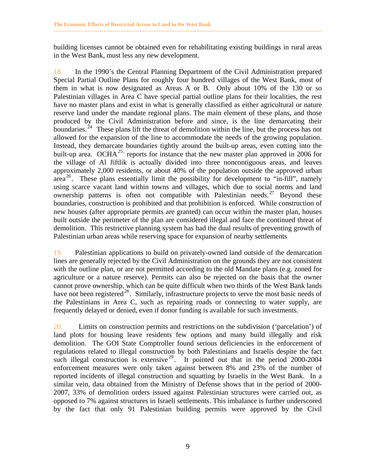building licenses cannot be obtained even for rehabilitating existing buildings in rural areas in the West Bank, must less any new development.

**------------------------------------------------------------------------------------------------------------------------------------------------------** 

18. In the 1990's the Central Planning Department of the Civil Administration prepared Special Partial Outline Plans for roughly four hundred villages of the West Bank, most of them in what is now designated as Areas A or B. Only about 10% of the 130 or so Palestinian villages in Area C have special partial outline plans for their localities, the rest have no master plans and exist in what is generally classified as either agricultural or nature reserve land under the mandate regional plans. The main element of these plans, and those produced by the Civil Administration before and since, is the line demarcating their boundaries.<sup> $24$ </sup> These plans lift the threat of demolition within the line, but the process has not allowed for the expansion of the line to accommodate the needs of the growing population. Instead, they demarcate boundaries tightly around the built-up areas, even cutting into the built-up area. OCHA<sup>25,</sup> reports for instance that the new master plan approved in 2006 for the village of Al Jiftlik is actually divided into three noncontiguous areas, and leaves approximately 2,000 residents, or about 40% of the population outside the approved urban area<sup>26</sup>. These plans essentially limit the possibility for development to "in-fill", namely using scarce vacant land within towns and villages, which due to social norms and land ownership patterns is often not compatible with Palestinian needs. <sup>27</sup> Beyond these boundaries, construction is prohibited and that prohibition is enforced. While construction of new houses (after appropriate permits are granted) can occur within the master plan, houses built outside the perimeter of the plan are considered illegal and face the continued threat of demolition. This restrictive planning system has had the dual results of preventing growth of Palestinian urban areas while reserving space for expansion of nearby settlements

19. Palestinian applications to build on privately-owned land outside of the demarcation lines are generally rejected by the Civil Administration on the grounds they are not consistent with the outline plan, or are not permitted according to the old Mandate plans (e.g. zoned for agriculture or a nature reserve). Permits can also be rejected on the basis that the owner cannot prove ownership, which can be quite difficult when two thirds of the West Bank lands have not been registered<sup>28</sup>. Similarly, infrastructure projects to serve the most basic needs of the Palestinians in Area C, such as repairing roads or connecting to water supply, are frequently delayed or denied, even if donor funding is available for such investments.

20. Limits on construction permits and restrictions on the subdivision ('parcelation') of land plots for housing leave residents few options and many build illegally and risk demolition. The GOI State Comptroller found serious deficiencies in the enforcement of regulations related to illegal construction by both Palestinians and Israelis despite the fact such illegal construction is extensive<sup>29</sup>. It pointed out that in the period 2000-2004 enforcement measures were only taken against between 8% and 23% of the number of reported incidents of illegal construction and squatting by Israelis in the West Bank. In a similar vein, data obtained from the Ministry of Defense shows that in the period of 2000- 2007, 33% of demolition orders issued against Palestinian structures were carried out, as opposed to 7% against structures in Israeli settlements. This imbalance is further underscored by the fact that only 91 Palestinian building permits were approved by the Civil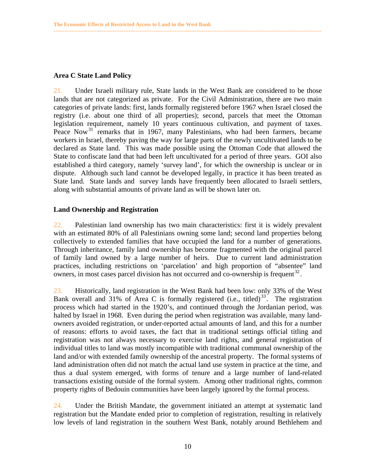#### **Area C State Land Policy**

21. Under Israeli military rule, State lands in the West Bank are considered to be those lands that are not categorized as private. For the Civil Administration, there are two main categories of private lands: first, lands formally registered before 1967 when Israel closed the registry (i.e. about one third of all properties); second, parcels that meet the Ottoman legislation requirement, namely 10 years continuous cultivation, and payment of taxes. Peace Now<sup>31</sup> remarks that in 1967, many Palestinians, who had been farmers, became workers in Israel, thereby paving the way for large parts of the newly uncultivated lands to be declared as State land. This was made possible using the Ottoman Code that allowed the State to confiscate land that had been left uncultivated for a period of three years. GOI also established a third category, namely 'survey land', for which the ownership is unclear or in dispute. Although such land cannot be developed legally, in practice it has been treated as State land. State lands and survey lands have frequently been allocated to Israeli settlers, along with substantial amounts of private land as will be shown later on.

<span id="page-16-0"></span>**------------------------------------------------------------------------------------------------------------------------------------------------------** 

#### **Land Ownership and Registration**

22. Palestinian land ownership has two main characteristics: first it is widely prevalent with an estimated 80% of all Palestinians owning some land; second land properties belong collectively to extended families that have occupied the land for a number of generations. Through inheritance, family land ownership has become fragmented with the original parcel of family land owned by a large number of heirs. Due to current land administration practices, including restrictions on 'parcelation' and high proportion of "absentee" land owners, in most cases parcel division has not occurred and co-ownership is frequent<sup>32</sup>.

23. Historically, land registration in the West Bank had been low: only 33% of the West Bank overall and 31% of Area C is formally registered (i.e., titled)<sup>33</sup>. The registration process which had started in the 1920's, and continued through the Jordanian period, was halted by Israel in 1968. Even during the period when registration was available, many landowners avoided registration, or under-reported actual amounts of land, and this for a number of reasons: efforts to avoid taxes, the fact that in traditional settings official titling and registration was not always necessary to exercise land rights, and general registration of individual titles to land was mostly incompatible with traditional communal ownership of the land and/or with extended family ownership of the ancestral property. The formal systems of land administration often did not match the actual land use system in practice at the time, and thus a dual system emerged, with forms of tenure and a large number of land-related transactions existing outside of the formal system. Among other traditional rights, common property rights of Bedouin communities have been largely ignored by the formal process.

24. Under the British Mandate, the government initiated an attempt at systematic land registration but the Mandate ended prior to completion of registration, resulting in relatively low levels of land registration in the southern West Bank, notably around Bethlehem and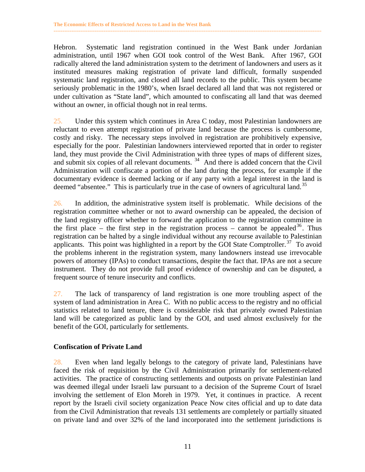Hebron. Systematic land registration continued in the West Bank under Jordanian administration, until 1967 when GOI took control of the West Bank. After 1967, GOI radically altered the land administration system to the detriment of landowners and users as it instituted measures making registration of private land difficult, formally suspended systematic land registration, and closed all land records to the public. This system became seriously problematic in the 1980's, when Israel declared all land that was not registered or under cultivation as "State land", which amounted to confiscating all land that was deemed without an owner, in official though not in real terms.

<span id="page-17-0"></span>**------------------------------------------------------------------------------------------------------------------------------------------------------** 

25. Under this system which continues in Area C today, most Palestinian landowners are reluctant to even attempt registration of private land because the process is cumbersome, costly and risky. The necessary steps involved in registration are prohibitively expensive, especially for the poor. Palestinian landowners interviewed reported that in order to register land, they must provide the Civil Administration with three types of maps of different sizes, and submit six copies of all relevant documents.<sup>34</sup> And there is added concern that the Civil Administration will confiscate a portion of the land during the process, for example if the documentary evidence is deemed lacking or if any party with a legal interest in the land is deemed "absentee." This is particularly true in the case of owners of agricultural land.<sup>35</sup>

26. In addition, the administrative system itself is problematic. While decisions of the registration committee whether or not to award ownership can be appealed, the decision of the land registry officer whether to forward the application to the registration committee in the first place – the first step in the registration process – cannot be appealed  $36$ . Thus registration can be halted by a single individual without any recourse available to Palestinian applicants. This point was highlighted in a report by the GOI State Comptroller.<sup>37</sup> To avoid the problems inherent in the registration system, many landowners instead use irrevocable powers of attorney (IPAs) to conduct transactions, despite the fact that. IPAs are not a secure instrument. They do not provide full proof evidence of ownership and can be disputed, a frequent source of tenure insecurity and conflicts.

27. The lack of transparency of land registration is one more troubling aspect of the system of land administration in Area C. With no public access to the registry and no official statistics related to land tenure, there is considerable risk that privately owned Palestinian land will be categorized as public land by the GOI, and used almost exclusively for the benefit of the GOI, particularly for settlements.

#### **Confiscation of Private Land**

28. Even when land legally belongs to the category of private land, Palestinians have faced the risk of requisition by the Civil Administration primarily for settlement-related activities. The practice of constructing settlements and outposts on private Palestinian land was deemed illegal under Israeli law pursuant to a decision of the Supreme Court of Israel involving the settlement of Elon Moreh in 1979. Yet, it continues in practice. A recent report by the Israeli civil society organization Peace Now cites official and up to date data from the Civil Administration that reveals 131 settlements are completely or partially situated on private land and over 32% of the land incorporated into the settlement jurisdictions is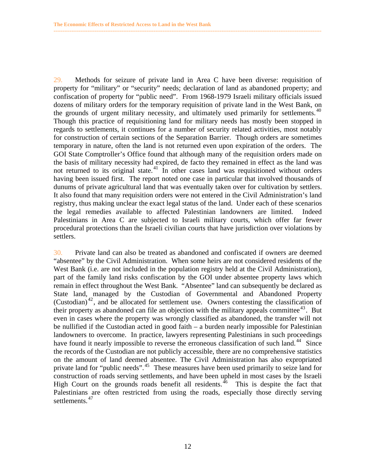29. Methods for seizure of private land in Area C have been diverse: requisition of property for "military" or "security" needs; declaration of land as abandoned property; and confiscation of property for "public need". From 1968-1979 Israeli military officials issued dozens of military orders for the temporary requisition of private land in the West Bank, on the grounds of urgent military necessity, and ultimately used primarily for settlements.  $40$ Though this practice of requisitioning land for military needs has mostly been stopped in regards to settlements, it continues for a number of security related activities, most notably for construction of certain sections of the Separation Barrier. Though orders are sometimes temporary in nature, often the land is not returned even upon expiration of the orders. The GOI State Comptroller's Office found that although many of the requisition orders made on the basis of military necessity had expired, de facto they remained in effect as the land was not returned to its original state.<sup>41</sup> In other cases land was requisitioned without orders having been issued first. The report noted one case in particular that involved thousands of dunums of private agricultural land that was eventually taken over for cultivation by settlers. It also found that many requisition orders were not entered in the Civil Administration's land registry, thus making unclear the exact legal status of the land. Under each of these scenarios the legal remedies available to affected Palestinian landowners are limited. Indeed Palestinians in Area C are subjected to Israeli military courts, which offer far fewer procedural protections than the Israeli civilian courts that have jurisdiction over violations by settlers.

**------------------------------------------------------------------------------------------------------------------------------------------------------** 

30. Private land can also be treated as abandoned and confiscated if owners are deemed "absentee" by the Civil Administration. When some heirs are not considered residents of the West Bank (i.e. are not included in the population registry held at the Civil Administration), part of the family land risks confiscation by the GOI under absentee property laws which remain in effect throughout the West Bank. "Absentee" land can subsequently be declared as State land, managed by the Custodian of Governmental and Abandoned Property (Custodian)<sup>42</sup>, and be allocated for settlement use. Owners contesting the classification of their property as abandoned can file an objection with the military appeals committee  $43$ . But even in cases where the property was wrongly classified as abandoned, the transfer will not be nullified if the Custodian acted in good faith – a burden nearly impossible for Palestinian landowners to overcome. In practice, lawyers representing Palestinians in such proceedings have found it nearly impossible to reverse the erroneous classification of such land.<sup>44</sup> Since the records of the Custodian are not publicly accessible, there are no comprehensive statistics on the amount of land deemed absentee. The Civil Administration has also expropriated private land for "public needs".<sup>45</sup> These measures have been used primarily to seize land for construction of roads serving settlements, and have been upheld in most cases by the Israeli High Court on the grounds roads benefit all residents.<sup>46</sup> This is despite the fact that Palestinians are often restricted from using the roads, especially those directly serving settlements.<sup>47</sup>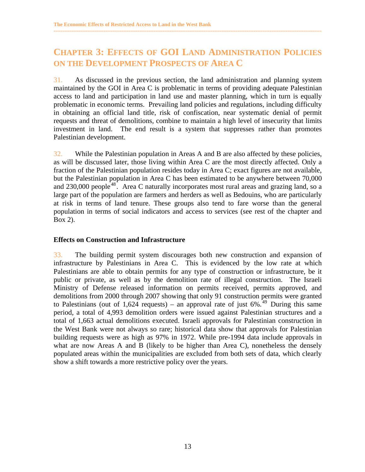## **CHAPTER 3: EFFECTS OF GOI LAND ADMINISTRATION POLICIES ON THE DEVELOPMENT PROSPECTS OF AREA C**

<span id="page-19-0"></span>**------------------------------------------------------------------------------------------------------------------------------------------------------** 

31. As discussed in the previous section, the land administration and planning system maintained by the GOI in Area C is problematic in terms of providing adequate Palestinian access to land and participation in land use and master planning, which in turn is equally problematic in economic terms. Prevailing land policies and regulations, including difficulty in obtaining an official land title, risk of confiscation, near systematic denial of permit requests and threat of demolitions, combine to maintain a high level of insecurity that limits investment in land. The end result is a system that suppresses rather than promotes Palestinian development.

32. While the Palestinian population in Areas A and B are also affected by these policies, as will be discussed later, those living within Area C are the most directly affected. Only a fraction of the Palestinian population resides today in Area C; exact figures are not available, but the Palestinian population in Area C has been estimated to be anywhere between 70,000 and  $230,000$  people<sup>48</sup>. Area C naturally incorporates most rural areas and grazing land, so a large part of the population are farmers and herders as well as Bedouins, who are particularly at risk in terms of land tenure. These groups also tend to fare worse than the general population in terms of social indicators and access to services (see rest of the chapter and Box 2).

#### **Effects on Construction and Infrastructure**

33. The building permit system discourages both new construction and expansion of infrastructure by Palestinians in Area C. This is evidenced by the low rate at which Palestinians are able to obtain permits for any type of construction or infrastructure, be it public or private, as well as by the demolition rate of illegal construction. The Israeli Ministry of Defense released information on permits received, permits approved, and demolitions from 2000 through 2007 showing that only 91 construction permits were granted to Palestinians (out of 1,624 requests) – an approval rate of just  $6\%$ .<sup>49</sup> During this same period, a total of 4,993 demolition orders were issued against Palestinian structures and a total of 1,663 actual demolitions executed. Israeli approvals for Palestinian construction in the West Bank were not always so rare; historical data show that approvals for Palestinian building requests were as high as 97% in 1972. While pre-1994 data include approvals in what are now Areas A and B (likely to be higher than Area C), nonetheless the densely populated areas within the municipalities are excluded from both sets of data, which clearly show a shift towards a more restrictive policy over the years.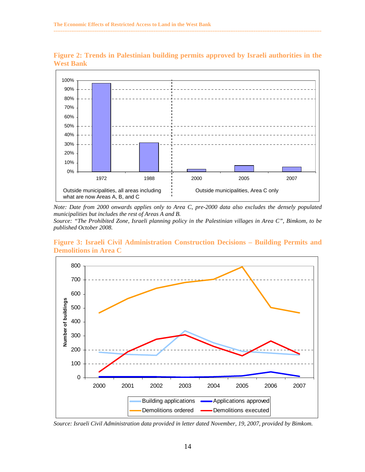

**Figure 2: Trends in Palestinian building permits approved by Israeli authorities in the West Bank** 

**------------------------------------------------------------------------------------------------------------------------------------------------------** 

*Note: Date from 2000 onwards applies only to Area C, pre-2000 data also excludes the densely populated municipalities but includes the rest of Areas A and B. Source: "The Prohibited Zone, Israeli planning policy in the Palestinian villages in Area C", Bimkom, to be published October 2008.* 

**Figure 3: Israeli Civil Administration Construction Decisions – Building Permits and Demolitions in Area C** 



*Source: Israeli Civil Administration data provided in letter dated November, 19, 2007, provided by Bimkom.*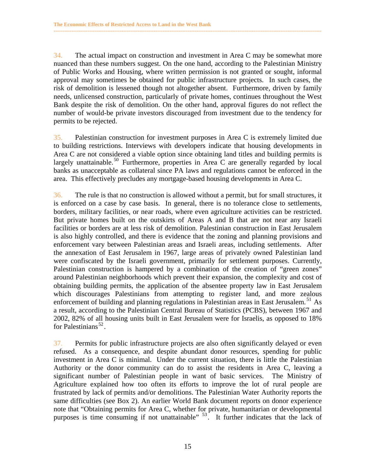34. The actual impact on construction and investment in Area C may be somewhat more nuanced than these numbers suggest. On the one hand, according to the Palestinian Ministry of Public Works and Housing, where written permission is not granted or sought, informal approval may sometimes be obtained for public infrastructure projects. In such cases, the risk of demolition is lessened though not altogether absent. Furthermore, driven by family needs, unlicensed construction, particularly of private homes, continues throughout the West Bank despite the risk of demolition. On the other hand, approval figures do not reflect the number of would-be private investors discouraged from investment due to the tendency for permits to be rejected.

**------------------------------------------------------------------------------------------------------------------------------------------------------** 

35. Palestinian construction for investment purposes in Area C is extremely limited due to building restrictions. Interviews with developers indicate that housing developments in Area C are not considered a viable option since obtaining land titles and building permits is largely unattainable.<sup>50</sup> Furthermore, properties in Area C are generally regarded by local banks as unacceptable as collateral since PA laws and regulations cannot be enforced in the area. This effectively precludes any mortgage-based housing developments in Area C.

36. The rule is that no construction is allowed without a permit, but for small structures, it is enforced on a case by case basis. In general, there is no tolerance close to settlements, borders, military facilities, or near roads, where even agriculture activities can be restricted. But private homes built on the outskirts of Areas A and B that are not near any Israeli facilities or borders are at less risk of demolition. Palestinian construction in East Jerusalem is also highly controlled, and there is evidence that the zoning and planning provisions and enforcement vary between Palestinian areas and Israeli areas, including settlements. After the annexation of East Jerusalem in 1967, large areas of privately owned Palestinian land were confiscated by the Israeli government, primarily for settlement purposes. Currently, Palestinian construction is hampered by a combination of the creation of "green zones" around Palestinian neighborhoods which prevent their expansion, the complexity and cost of obtaining building permits, the application of the absentee property law in East Jerusalem which discourages Palestinians from attempting to register land, and more zealous enforcement of building and planning regulations in Palestinian areas in East Jerusalem.<sup>51</sup> As a result, according to the Palestinian Central Bureau of Statistics (PCBS), between 1967 and 2002, 82% of all housing units built in East Jerusalem were for Israelis, as opposed to 18% for Palestinians<sup>52</sup>.

37. Permits for public infrastructure projects are also often significantly delayed or even refused. As a consequence, and despite abundant donor resources, spending for public investment in Area C is minimal. Under the current situation, there is little the Palestinian Authority or the donor community can do to assist the residents in Area C, leaving a significant number of Palestinian people in want of basic services. The Ministry of Agriculture explained how too often its efforts to improve the lot of rural people are frustrated by lack of permits and/or demolitions. The Palestinian Water Authority reports the same difficulties (see Box 2). An earlier World Bank document reports on donor experience note that "Obtaining permits for Area C, whether for private, humanitarian or developmental purposes is time consuming if not unattainable" <sup>53</sup>. It further indicates that the lack of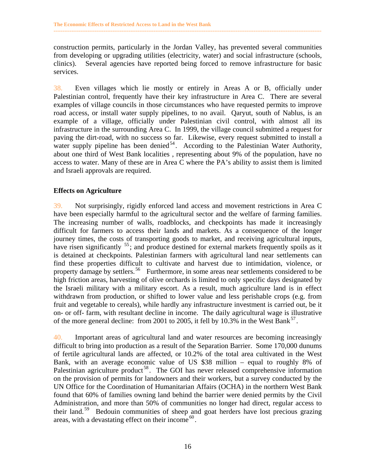construction permits, particularly in the Jordan Valley, has prevented several communities from developing or upgrading utilities (electricity, water) and social infrastructure (schools, clinics). Several agencies have reported being forced to remove infrastructure for basic services.

<span id="page-22-0"></span>**------------------------------------------------------------------------------------------------------------------------------------------------------** 

38. Even villages which lie mostly or entirely in Areas A or B, officially under Palestinian control, frequently have their key infrastructure in Area C. There are several examples of village councils in those circumstances who have requested permits to improve road access, or install water supply pipelines, to no avail. Qaryut, south of Nablus, is an example of a village, officially under Palestinian civil control, with almost all its infrastructure in the surrounding Area C. In 1999, the village council submitted a request for paving the dirt-road, with no success so far. Likewise, every request submitted to install a water supply pipeline has been denied<sup>54</sup>. According to the Palestinian Water Authority, about one third of West Bank localities , representing about 9% of the population, have no access to water. Many of these are in Area C where the PA's ability to assist them is limited and Israeli approvals are required.

#### **Effects on Agriculture**

39. Not surprisingly, rigidly enforced land access and movement restrictions in Area C have been especially harmful to the agricultural sector and the welfare of farming families. The increasing number of walls, roadblocks, and checkpoints has made it increasingly difficult for farmers to access their lands and markets. As a consequence of the longer journey times, the costs of transporting goods to market, and receiving agricultural inputs, have risen significantly <sup>55</sup>; and produce destined for external markets frequently spoils as it is detained at checkpoints. Palestinian farmers with agricultural land near settlements can find these properties difficult to cultivate and harvest due to intimidation, violence, or property damage by settlers.<sup>56</sup> Furthermore, in some areas near settlements considered to be high friction areas, harvesting of olive orchards is limited to only specific days designated by the Israeli military with a military escort. As a result, much agriculture land is in effect withdrawn from production, or shifted to lower value and less perishable crops (e.g. from fruit and vegetable to cereals), while hardly any infrastructure investment is carried out, be it on- or off- farm, with resultant decline in income. The daily agricultural wage is illustrative of the more general decline: from 2001 to 2005, it fell by 10.3% in the West Bank<sup>57</sup>.

40. Important areas of agricultural land and water resources are becoming increasingly difficult to bring into production as a result of the Separation Barrier. Some 170,000 dunums of fertile agricultural lands are affected, or 10.2% of the total area cultivated in the West Bank, with an average economic value of US \$38 million – equal to roughly 8% of Palestinian agriculture product<sup>58</sup>. The GOI has never released comprehensive information on the provision of permits for landowners and their workers, but a survey conducted by the UN Office for the Coordination of Humanitarian Affairs (OCHA) in the northern West Bank found that 60% of families owning land behind the barrier were denied permits by the Civil Administration, and more than 50% of communities no longer had direct, regular access to their land. 59 Bedouin communities of sheep and goat herders have lost precious grazing areas, with a devastating effect on their income  $60$ .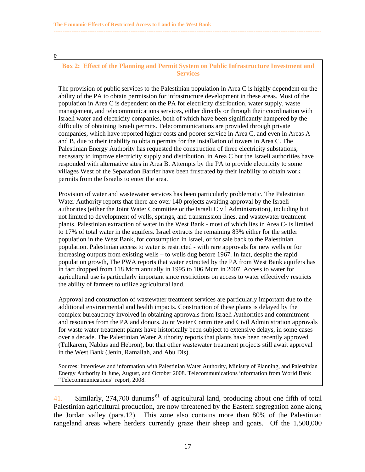e

#### **Box 2: Effect of the Planning and Permit System on Public Infrastructure Investment and Services**

**------------------------------------------------------------------------------------------------------------------------------------------------------** 

The provision of public services to the Palestinian population in Area C is highly dependent on the ability of the PA to obtain permission for infrastructure development in these areas. Most of the population in Area C is dependent on the PA for electricity distribution, water supply, waste management, and telecommunications services, either directly or through their coordination with Israeli water and electricity companies, both of which have been significantly hampered by the difficulty of obtaining Israeli permits. Telecommunications are provided through private companies, which have reported higher costs and poorer service in Area C, and even in Areas A and B, due to their inability to obtain permits for the installation of towers in Area C. The Palestinian Energy Authority has requested the construction of three electricity substations, necessary to improve electricity supply and distribution, in Area C but the Israeli authorities have responded with alternative sites in Area B. Attempts by the PA to provide electricity to some villages West of the Separation Barrier have been frustrated by their inability to obtain work permits from the Israelis to enter the area.

Provision of water and wastewater services has been particularly problematic. The Palestinian Water Authority reports that there are over 140 projects awaiting approval by the Israeli authorities (either the Joint Water Committee or the Israeli Civil Administration), including but not limited to development of wells, springs, and transmission lines, and wastewater treatment plants. Palestinian extraction of water in the West Bank - most of which lies in Area C- is limited to 17% of total water in the aquifers. Israel extracts the remaining 83% either for the settler population in the West Bank, for consumption in Israel, or for sale back to the Palestinian population. Palestinian access to water is restricted - with rare approvals for new wells or for increasing outputs from existing wells – to wells dug before 1967. In fact, despite the rapid population growth, The PWA reports that water extracted by the PA from West Bank aquifers has in fact dropped from 118 Mcm annually in 1995 to 106 Mcm in 2007. Access to water for agricultural use is particularly important since restrictions on access to water effectively restricts the ability of farmers to utilize agricultural land.

Approval and construction of wastewater treatment services are particularly important due to the additional environmental and health impacts. Construction of these plants is delayed by the complex bureaucracy involved in obtaining approvals from Israeli Authorities and commitment and resources from the PA and donors. Joint Water Committee and Civil Administration approvals for waste water treatment plants have historically been subject to extensive delays, in some cases over a decade. The Palestinian Water Authority reports that plants have been recently approved (Tulkarem, Nablus and Hebron), but that other wastewater treatment projects still await approval in the West Bank (Jenin, Ramallah, and Abu Dis).

Sources: Interviews and information with Palestinian Water Authority, Ministry of Planning, and Palestinian Energy Authority in June, August, and October 2008. Telecommunications information from World Bank "Telecommunications" report, 2008.

41. Similarly, 274,700 dunums<sup>61</sup> of agricultural land, producing about one fifth of total Palestinian agricultural production, are now threatened by the Eastern segregation zone along the Jordan valley (para.12). This zone also contains more than 80% of the Palestinian rangeland areas where herders currently graze their sheep and goats. Of the 1,500,000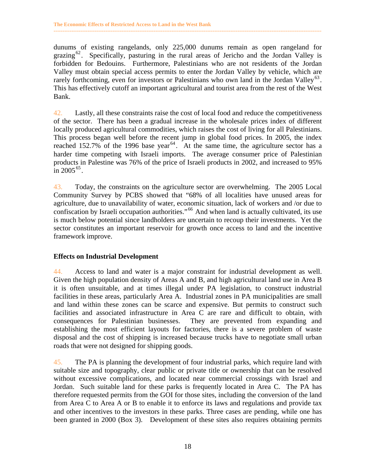dunums of existing rangelands, only 225,000 dunums remain as open rangeland for grazing<sup>62</sup>. Specifically, pasturing in the rural areas of Jericho and the Jordan Valley is forbidden for Bedouins. Furthermore, Palestinians who are not residents of the Jordan Valley must obtain special access permits to enter the Jordan Valley by vehicle, which are rarely forthcoming, even for investors or Palestinians who own land in the Jordan Valley<sup>63</sup>. This has effectively cutoff an important agricultural and tourist area from the rest of the West Bank.

<span id="page-24-0"></span>**------------------------------------------------------------------------------------------------------------------------------------------------------** 

42. Lastly, all these constraints raise the cost of local food and reduce the competitiveness of the sector. There has been a gradual increase in the wholesale prices index of different locally produced agricultural commodities, which raises the cost of living for all Palestinians. This process began well before the recent jump in global food prices. In 2005, the index reached 152.7% of the 1996 base year<sup>64</sup>. At the same time, the agriculture sector has a harder time competing with Israeli imports. The average consumer price of Palestinian products in Palestine was 76% of the price of Israeli products in 2002, and increased to 95% in  $2005^{65}$ .

43. Today, the constraints on the agriculture sector are overwhelming. The 2005 Local Community Survey by PCBS showed that "68% of all localities have unused areas for agriculture, due to unavailability of water, economic situation, lack of workers and /or due to confiscation by Israeli occupation authorities."<sup>66</sup> And when land is actually cultivated, its use is much below potential since landholders are uncertain to recoup their investments. Yet the sector constitutes an important reservoir for growth once access to land and the incentive framework improve.

#### **Effects on Industrial Development**

44. Access to land and water is a major constraint for industrial development as well. Given the high population density of Areas A and B, and high agricultural land use in Area B it is often unsuitable, and at times illegal under PA legislation, to construct industrial facilities in these areas, particularly Area A. Industrial zones in PA municipalities are small and land within these zones can be scarce and expensive. But permits to construct such facilities and associated infrastructure in Area C are rare and difficult to obtain, with consequences for Palestinian businesses. They are prevented from expanding and establishing the most efficient layouts for factories, there is a severe problem of waste disposal and the cost of shipping is increased because trucks have to negotiate small urban roads that were not designed for shipping goods.

45. The PA is planning the development of four industrial parks, which require land with suitable size and topography, clear public or private title or ownership that can be resolved without excessive complications, and located near commercial crossings with Israel and Jordan. Such suitable land for these parks is frequently located in Area C. The PA has therefore requested permits from the GOI for those sites, including the conversion of the land from Area C to Area A or B to enable it to enforce its laws and regulations and provide tax and other incentives to the investors in these parks. Three cases are pending, while one has been granted in 2000 (Box 3). Development of these sites also requires obtaining permits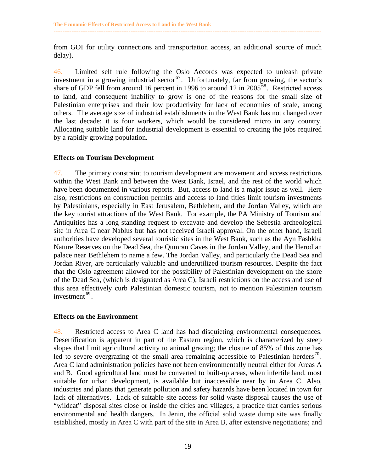from GOI for utility connections and transportation access, an additional source of much delay).

<span id="page-25-0"></span>**------------------------------------------------------------------------------------------------------------------------------------------------------** 

46. Limited self rule following the Oslo Accords was expected to unleash private investment in a growing industrial sector<sup>67</sup>. Unfortunately, far from growing, the sector's share of GDP fell from around 16 percent in 1996 to around 12 in 2005<sup>68</sup>. Restricted access to land, and consequent inability to grow is one of the reasons for the small size of Palestinian enterprises and their low productivity for lack of economies of scale, among others. The average size of industrial establishments in the West Bank has not changed over the last decade; it is four workers, which would be considered micro in any country. Allocating suitable land for industrial development is essential to creating the jobs required by a rapidly growing population.

#### **Effects on Tourism Development**

47. The primary constraint to tourism development are movement and access restrictions within the West Bank and between the West Bank, Israel, and the rest of the world which have been documented in various reports. But, access to land is a major issue as well. Here also, restrictions on construction permits and access to land titles limit tourism investments by Palestinians, especially in East Jerusalem, Bethlehem, and the Jordan Valley, which are the key tourist attractions of the West Bank. For example, the PA Ministry of Tourism and Antiquities has a long standing request to excavate and develop the Sebestia archeological site in Area C near Nablus but has not received Israeli approval. On the other hand, Israeli authorities have developed several touristic sites in the West Bank, such as the Ayn Fashkha Nature Reserves on the Dead Sea, the Qumran Caves in the Jordan Valley, and the Herodian palace near Bethlehem to name a few. The Jordan Valley, and particularly the Dead Sea and Jordan River, are particularly valuable and underutilized tourism resources. Despite the fact that the Oslo agreement allowed for the possibility of Palestinian development on the shore of the Dead Sea, (which is designated as Area C), Israeli restrictions on the access and use of this area effectively curb Palestinian domestic tourism, not to mention Palestinian tourism investment  $69$ .

#### **Effects on the Environment**

48. Restricted access to Area C land has had disquieting environmental consequences. Desertification is apparent in part of the Eastern region, which is characterized by steep slopes that limit agricultural activity to animal grazing; the closure of 85% of this zone has led to severe overgrazing of the small area remaining accessible to Palestinian herders<sup>70</sup>. Area C land administration policies have not been environmentally neutral either for Areas A and B. Good agricultural land must be converted to built-up areas, when infertile land, most suitable for urban development, is available but inaccessible near by in Area C. Also, industries and plants that generate pollution and safety hazards have been located in town for lack of alternatives. Lack of suitable site access for solid waste disposal causes the use of "wildcat" disposal sites close or inside the cities and villages, a practice that carries serious environmental and health dangers. In Jenin, the official solid waste dump site was finally established, mostly in Area C with part of the site in Area B, after extensive negotiations; and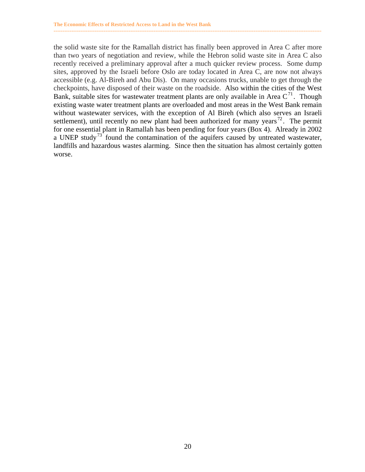the solid waste site for the Ramallah district has finally been approved in Area C after more than two years of negotiation and review, while the Hebron solid waste site in Area C also recently received a preliminary approval after a much quicker review process. Some dump sites, approved by the Israeli before Oslo are today located in Area C, are now not always accessible (e.g. Al-Bireh and Abu Dis). On many occasions trucks, unable to get through the checkpoints, have disposed of their waste on the roadside. Also within the cities of the West Bank, suitable sites for wastewater treatment plants are only available in Area  $C<sup>71</sup>$ . Though existing waste water treatment plants are overloaded and most areas in the West Bank remain without wastewater services, with the exception of Al Bireh (which also serves an Israeli settlement), until recently no new plant had been authorized for many years<sup>72</sup>. The permit for one essential plant in Ramallah has been pending for four years (Box 4). Already in 2002 a UNEP study<sup>73</sup> found the contamination of the aquifers caused by untreated wastewater, landfills and hazardous wastes alarming. Since then the situation has almost certainly gotten worse.

**------------------------------------------------------------------------------------------------------------------------------------------------------**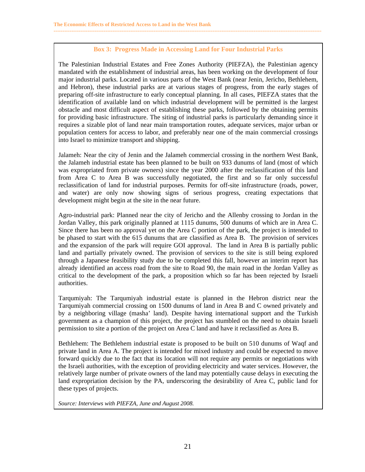#### **Box 3: Progress Made in Accessing Land for Four Industrial Parks**

**------------------------------------------------------------------------------------------------------------------------------------------------------** 

The Palestinian Industrial Estates and Free Zones Authority (PIEFZA), the Palestinian agency mandated with the establishment of industrial areas, has been working on the development of four major industrial parks. Located in various parts of the West Bank (near Jenin, Jericho, Bethlehem, and Hebron), these industrial parks are at various stages of progress, from the early stages of preparing off-site infrastructure to early conceptual planning. In all cases, PIEFZA states that the identification of available land on which industrial development will be permitted is the largest obstacle and most difficult aspect of establishing these parks, followed by the obtaining permits for providing basic infrastructure. The siting of industrial parks is particularly demanding since it requires a sizable plot of land near main transportation routes, adequate services, major urban or population centers for access to labor, and preferably near one of the main commercial crossings into Israel to minimize transport and shipping.

Jalameh: Near the city of Jenin and the Jalameh commercial crossing in the northern West Bank, the Jalameh industrial estate has been planned to be built on 933 dunums of land (most of which was expropriated from private owners) since the year 2000 after the reclassification of this land from Area C to Area B was successfully negotiated, the first and so far only successful reclassification of land for industrial purposes. Permits for off-site infrastructure (roads, power, and water) are only now showing signs of serious progress, creating expectations that development might begin at the site in the near future.

Agro-industrial park: Planned near the city of Jericho and the Allenby crossing to Jordan in the Jordan Valley, this park originally planned at 1115 dunums, 500 dunums of which are in Area C. Since there has been no approval yet on the Area C portion of the park, the project is intended to be phased to start with the 615 dunums that are classified as Area B. The provision of services and the expansion of the park will require GOI approval. The land in Area B is partially public land and partially privately owned. The provision of services to the site is still being explored through a Japanese feasibility study due to be completed this fall, however an interim report has already identified an access road from the site to Road 90, the main road in the Jordan Valley as critical to the development of the park, a proposition which so far has been rejected by Israeli authorities.

Tarqumiyah: The Tarqumiyah industrial estate is planned in the Hebron district near the Tarqumiyah commercial crossing on 1500 dunums of land in Area B and C owned privately and by a neighboring village (masha' land). Despite having international support and the Turkish government as a champion of this project, the project has stumbled on the need to obtain Israeli permission to site a portion of the project on Area C land and have it reclassified as Area B.

Bethlehem: The Bethlehem industrial estate is proposed to be built on 510 dunums of Waqf and private land in Area A. The project is intended for mixed industry and could be expected to move forward quickly due to the fact that its location will not require any permits or negotiations with the Israeli authorities, with the exception of providing electricity and water services. However, the relatively large number of private owners of the land may potentially cause delays in executing the land expropriation decision by the PA, underscoring the desirability of Area C, public land for these types of projects.

*Source: Interviews with PIEFZA, June and August 2008.*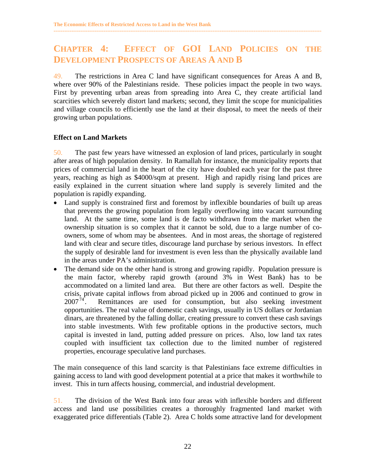## **CHAPTER 4: EFFECT OF GOI LAND POLICIES ON THE DEVELOPMENT PROSPECTS OF AREAS A AND B**

<span id="page-28-0"></span>**------------------------------------------------------------------------------------------------------------------------------------------------------** 

49. The restrictions in Area C land have significant consequences for Areas A and B, where over 90% of the Palestinians reside. These policies impact the people in two ways. First by preventing urban areas from spreading into Area C, they create artificial land scarcities which severely distort land markets; second, they limit the scope for municipalities and village councils to efficiently use the land at their disposal, to meet the needs of their growing urban populations.

#### **Effect on Land Markets**

50. The past few years have witnessed an explosion of land prices, particularly in sought after areas of high population density. In Ramallah for instance, the municipality reports that prices of commercial land in the heart of the city have doubled each year for the past three years, reaching as high as \$4000/sqm at present. High and rapidly rising land prices are easily explained in the current situation where land supply is severely limited and the population is rapidly expanding.

- Land supply is constrained first and foremost by inflexible boundaries of built up areas that prevents the growing population from legally overflowing into vacant surrounding land. At the same time, some land is de facto withdrawn from the market when the ownership situation is so complex that it cannot be sold, due to a large number of coowners, some of whom may be absentees. And in most areas, the shortage of registered land with clear and secure titles, discourage land purchase by serious investors. In effect the supply of desirable land for investment is even less than the physically available land in the areas under PA's administration.
- The demand side on the other hand is strong and growing rapidly. Population pressure is the main factor, whereby rapid growth (around 3% in West Bank) has to be accommodated on a limited land area. But there are other factors as well. Despite the crisis, private capital inflows from abroad picked up in 2006 and continued to grow in  $2007^{74}$ . Remittances are used for consumption, but also seeking investment opportunities. The real value of domestic cash savings, usually in US dollars or Jordanian dinars, are threatened by the falling dollar, creating pressure to convert these cash savings into stable investments. With few profitable options in the productive sectors, much capital is invested in land, putting added pressure on prices. Also, low land tax rates coupled with insufficient tax collection due to the limited number of registered properties, encourage speculative land purchases.

The main consequence of this land scarcity is that Palestinians face extreme difficulties in gaining access to land with good development potential at a price that makes it worthwhile to invest. This in turn affects housing, commercial, and industrial development.

51. The division of the West Bank into four areas with inflexible borders and different access and land use possibilities creates a thoroughly fragmented land market with exaggerated price differentials (Table 2). Area C holds some attractive land for development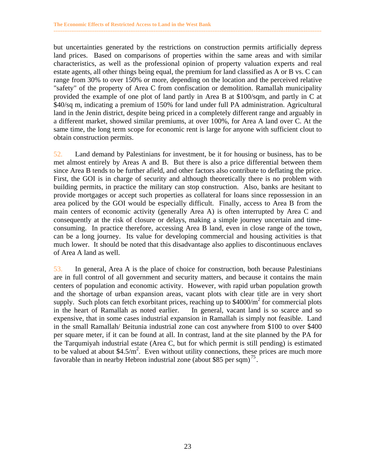but uncertainties generated by the restrictions on construction permits artificially depress land prices. Based on comparisons of properties within the same areas and with similar characteristics, as well as the professional opinion of property valuation experts and real estate agents, all other things being equal, the premium for land classified as A or B vs. C can range from 30% to over 150% or more, depending on the location and the perceived relative "safety" of the property of Area C from confiscation or demolition. Ramallah municipality provided the example of one plot of land partly in Area B at \$100/sqm, and partly in C at \$40/sq m, indicating a premium of 150% for land under full PA administration. Agricultural land in the Jenin district, despite being priced in a completely different range and arguably in a different market, showed similar premiums, at over 100%, for Area A land over C. At the same time, the long term scope for economic rent is large for anyone with sufficient clout to obtain construction permits.

**------------------------------------------------------------------------------------------------------------------------------------------------------** 

52. Land demand by Palestinians for investment, be it for housing or business, has to be met almost entirely by Areas A and B. But there is also a price differential between them since Area B tends to be further afield, and other factors also contribute to deflating the price. First, the GOI is in charge of security and although theoretically there is no problem with building permits, in practice the military can stop construction. Also, banks are hesitant to provide mortgages or accept such properties as collateral for loans since repossession in an area policed by the GOI would be especially difficult. Finally, access to Area B from the main centers of economic activity (generally Area A) is often interrupted by Area C and consequently at the risk of closure or delays, making a simple journey uncertain and timeconsuming. In practice therefore, accessing Area B land, even in close range of the town, can be a long journey. Its value for developing commercial and housing activities is that much lower. It should be noted that this disadvantage also applies to discontinuous enclaves of Area A land as well.

53. In general, Area A is the place of choice for construction, both because Palestinians are in full control of all government and security matters, and because it contains the main centers of population and economic activity. However, with rapid urban population growth and the shortage of urban expansion areas, vacant plots with clear title are in very short supply. Such plots can fetch exorbitant prices, reaching up to  $$4000/m^2$  for commercial plots in the heart of Ramallah as noted earlier. In general, vacant land is so scarce and so expensive, that in some cases industrial expansion in Ramallah is simply not feasible. Land in the small Ramallah/ Beitunia industrial zone can cost anywhere from \$100 to over \$400 per square meter, if it can be found at all. In contrast, land at the site planned by the PA for the Tarqumiyah industrial estate (Area C, but for which permit is still pending) is estimated to be valued at about  $$4.5/m^2$ . Even without utility connections, these prices are much more favorable than in nearby Hebron industrial zone (about \$85 per sqm)<sup>75</sup>.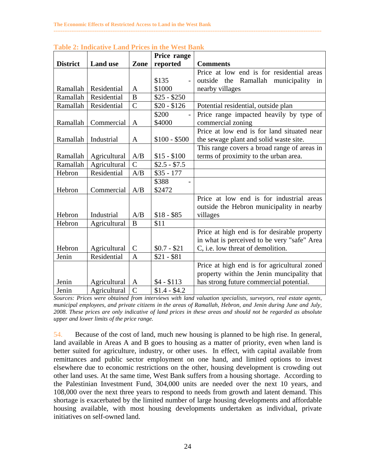|                 |                 |                | Price range   |                                             |
|-----------------|-----------------|----------------|---------------|---------------------------------------------|
| <b>District</b> | <b>Land use</b> | Zone           | reported      | <b>Comments</b>                             |
|                 |                 |                |               | Price at low end is for residential areas   |
|                 |                 |                | \$135         | outside the Ramallah municipality<br>in     |
| Ramallah        | Residential     | A              | \$1000        | nearby villages                             |
| Ramallah        | Residential     | B              | $$25 - $250$  |                                             |
| Ramallah        | Residential     | $\overline{C}$ | $$20 - $126$  | Potential residential, outside plan         |
|                 |                 |                | \$200         | Price range impacted heavily by type of     |
| Ramallah        | Commercial      | A              | \$4000        | commercial zoning                           |
|                 |                 |                |               | Price at low end is for land situated near  |
| Ramallah        | Industrial      | A              | $$100 - $500$ | the sewage plant and solid waste site.      |
|                 |                 |                |               | This range covers a broad range of areas in |
| Ramallah        | Agricultural    | A/B            | $$15 - $100$  | terms of proximity to the urban area.       |
| Ramallah        | Agricultural    | $\mathcal{C}$  | $$2.5 - $7.5$ |                                             |
| Hebron          | Residential     | A/B            | $$35 - 177$   |                                             |
|                 |                 |                | \$388         |                                             |
| Hebron          | Commercial      | A/B            | \$2472        |                                             |
|                 |                 |                |               | Price at low end is for industrial areas    |
|                 |                 |                |               | outside the Hebron municipality in nearby   |
| Hebron          | Industrial      | A/B            | $$18 - $85$   | villages                                    |
| Hebron          | Agricultural    | $\bf{B}$       | \$11          |                                             |
|                 |                 |                |               | Price at high end is for desirable property |
|                 |                 |                |               | in what is perceived to be very "safe" Area |
| Hebron          | Agricultural    | $\mathcal{C}$  | $$0.7 - $21$  | C, i.e. low threat of demolition.           |
| Jenin           | Residential     | $\mathbf{A}$   | $$21 - $81$   |                                             |
|                 |                 |                |               | Price at high end is for agricultural zoned |
|                 |                 |                |               | property within the Jenin muncipality that  |
| Jenin           | Agricultural    | A              | $$4 - $113$   | has strong future commercial potential.     |
| Jenin           | Agricultural    | $\overline{C}$ | $$1.4 - $4.2$ |                                             |

**------------------------------------------------------------------------------------------------------------------------------------------------------** 

|  |  | <b>Table 2: Indicative Land Prices in the West Bank</b> |
|--|--|---------------------------------------------------------|

*Sources: Prices were obtained from interviews with land valuation specialists, surveyors, real estate agents, municipal employees, and private citizens in the areas of Ramallah, Hebron, and Jenin during June and July, 2008. These prices are only indicative of land prices in these areas and should not be regarded as absolute upper and lower limits of the price range.* 

54. Because of the cost of land, much new housing is planned to be high rise. In general, land available in Areas A and B goes to housing as a matter of priority, even when land is better suited for agriculture, industry, or other uses. In effect, with capital available from remittances and public sector employment on one hand, and limited options to invest elsewhere due to economic restrictions on the other, housing development is crowding out other land uses. At the same time, West Bank suffers from a housing shortage. According to the Palestinian Investment Fund, 304,000 units are needed over the next 10 years, and 108,000 over the next three years to respond to needs from growth and latent demand. This shortage is exacerbated by the limited number of large housing developments and affordable housing available, with most housing developments undertaken as individual, private initiatives on self-owned land.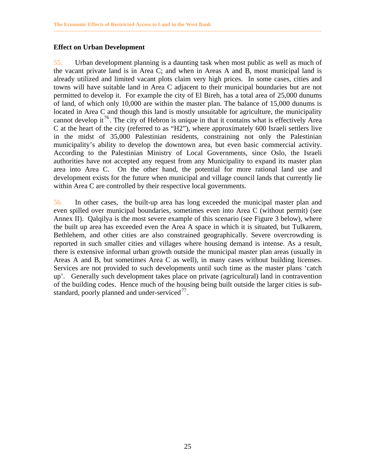#### **Effect on Urban Development**

55. Urban development planning is a daunting task when most public as well as much of the vacant private land is in Area C; and when in Areas A and B, most municipal land is already utilized and limited vacant plots claim very high prices. In some cases, cities and towns will have suitable land in Area C adjacent to their municipal boundaries but are not permitted to develop it. For example the city of El Bireh, has a total area of 25,000 dunums of land, of which only 10,000 are within the master plan. The balance of 15,000 dunums is located in Area C and though this land is mostly unsuitable for agriculture, the municipality cannot develop it<sup>76</sup>. The city of Hebron is unique in that it contains what is effectively Area C at the heart of the city (referred to as "H2"), where approximately 600 Israeli settlers live in the midst of 35,000 Palestinian residents, constraining not only the Palestinian municipality's ability to develop the downtown area, but even basic commercial activity. According to the Palestinian Ministry of Local Governments, since Oslo, the Israeli authorities have not accepted any request from any Municipality to expand its master plan area into Area C. On the other hand, the potential for more rational land use and development exists for the future when municipal and village council lands that currently lie within Area C are controlled by their respective local governments.

<span id="page-31-0"></span>**------------------------------------------------------------------------------------------------------------------------------------------------------** 

56. In other cases, the built-up area has long exceeded the municipal master plan and even spilled over municipal boundaries, sometimes even into Area C (without permit) (see Annex II). Qalqilya is the most severe example of this scenario (see Figure 3 below), where the built up area has exceeded even the Area A space in which it is situated, but Tulkarem, Bethlehem, and other cities are also constrained geographically. Severe overcrowding is reported in such smaller cities and villages where housing demand is intense. As a result, there is extensive informal urban growth outside the municipal master plan areas (usually in Areas A and B, but sometimes Area C as well), in many cases without building licenses. Services are not provided to such developments until such time as the master plans 'catch up'. Generally such development takes place on private (agricultural) land in contravention of the building codes. Hence much of the housing being built outside the larger cities is substandard, poorly planned and under-serviced $^{77}$ .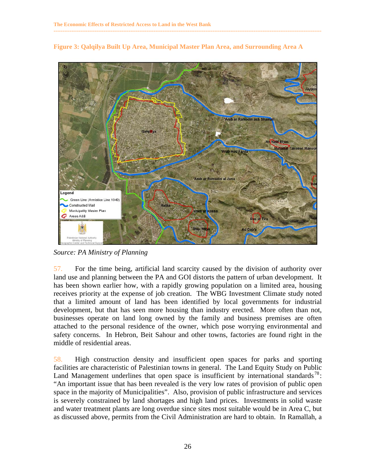

**Figure 3: Qalqilya Built Up Area, Municipal Master Plan Area, and Surrounding Area A** 

**------------------------------------------------------------------------------------------------------------------------------------------------------** 

*Source: PA Ministry of Planning* 

57. For the time being, artificial land scarcity caused by the division of authority over land use and planning between the PA and GOI distorts the pattern of urban development. It has been shown earlier how, with a rapidly growing population on a limited area, housing receives priority at the expense of job creation. The WBG Investment Climate study noted that a limited amount of land has been identified by local governments for industrial development, but that has seen more housing than industry erected. More often than not, businesses operate on land long owned by the family and business premises are often attached to the personal residence of the owner, which pose worrying environmental and safety concerns. In Hebron, Beit Sahour and other towns, factories are found right in the middle of residential areas.

58. High construction density and insufficient open spaces for parks and sporting facilities are characteristic of Palestinian towns in general. The Land Equity Study on Public Land Management underlines that open space is insufficient by international standards<sup>78</sup>: "An important issue that has been revealed is the very low rates of provision of public open space in the majority of Municipalities". Also, provision of public infrastructure and services is severely constrained by land shortages and high land prices. Investments in solid waste and water treatment plants are long overdue since sites most suitable would be in Area C, but as discussed above, permits from the Civil Administration are hard to obtain. In Ramallah, a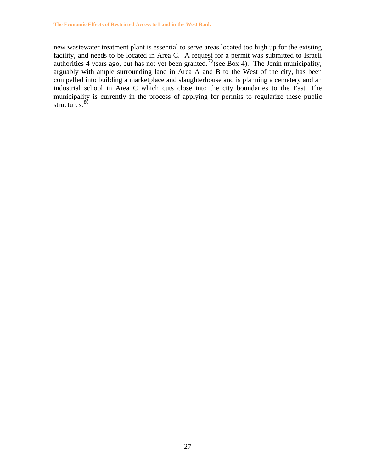new wastewater treatment plant is essential to serve areas located too high up for the existing facility, and needs to be located in Area C. A request for a permit was submitted to Israeli authorities 4 years ago, but has not yet been granted.<sup>79</sup> (see Box 4). The Jenin municipality, arguably with ample surrounding land in Area A and B to the West of the city, has been compelled into building a marketplace and slaughterhouse and is planning a cemetery and an industrial school in Area C which cuts close into the city boundaries to the East. The municipality is currently in the process of applying for permits to regularize these public structures. 80

**------------------------------------------------------------------------------------------------------------------------------------------------------**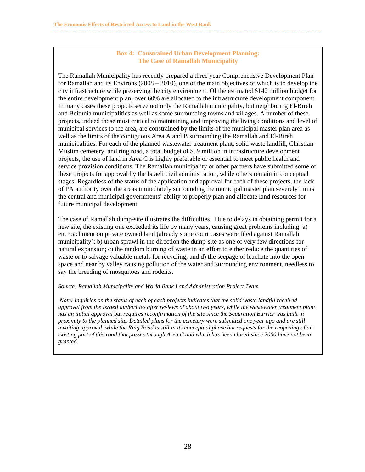#### **Box 4: Constrained Urban Development Planning: The Case of Ramallah Municipality**

**------------------------------------------------------------------------------------------------------------------------------------------------------** 

The Ramallah Municipality has recently prepared a three year Comprehensive Development Plan for Ramallah and its Environs (2008 – 2010), one of the main objectives of which is to develop the city infrastructure while preserving the city environment. Of the estimated \$142 million budget for the entire development plan, over 60% are allocated to the infrastructure development component. In many cases these projects serve not only the Ramallah municipality, but neighboring El-Bireh and Beitunia municipalities as well as some surrounding towns and villages. A number of these projects, indeed those most critical to maintaining and improving the living conditions and level of municipal services to the area, are constrained by the limits of the municipal master plan area as well as the limits of the contiguous Area A and B surrounding the Ramallah and El-Bireh municipalities. For each of the planned wastewater treatment plant, solid waste landfill, Christian-Muslim cemetery, and ring road, a total budget of \$59 million in infrastructure development projects, the use of land in Area C is highly preferable or essential to meet public health and service provision conditions. The Ramallah municipality or other partners have submitted some of these projects for approval by the Israeli civil administration, while others remain in conceptual stages. Regardless of the status of the application and approval for each of these projects, the lack of PA authority over the areas immediately surrounding the municipal master plan severely limits the central and municipal governments' ability to properly plan and allocate land resources for future municipal development.

The case of Ramallah dump-site illustrates the difficulties. Due to delays in obtaining permit for a new site, the existing one exceeded its life by many years, causing great problems including: a) encroachment on private owned land (already some court cases were filed against Ramallah municipality); b) urban sprawl in the direction the dump-site as one of very few directions for natural expansion; c) the random burning of waste in an effort to either reduce the quantities of waste or to salvage valuable metals for recycling; and d) the seepage of leachate into the open space and near by valley causing pollution of the water and surrounding environment, needless to say the breeding of mosquitoes and rodents.

#### *Source: Ramallah Municipality and World Bank Land Administration Project Team*

 *Note: Inquiries on the status of each of each projects indicates that the solid waste landfill received approval from the Israeli authorities after reviews of about two years, while the wastewater treatment plant has an initial approval but requires reconfirmation of the site since the Separation Barrier was built in proximity to the planned site. Detailed plans for the cemetery were submitted one year ago and are still awaiting approval, while the Ring Road is still in its conceptual phase but requests for the reopening of an existing part of this road that passes through Area C and which has been closed since 2000 have not been granted.*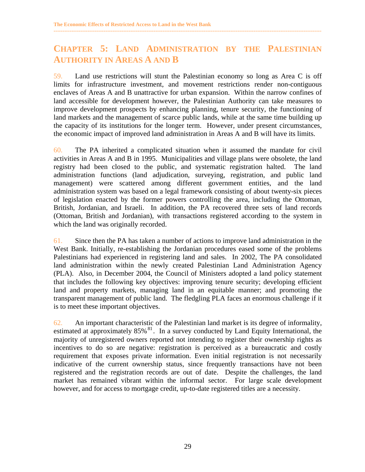## **CHAPTER 5: LAND ADMINISTRATION BY THE PALESTINIAN AUTHORITY IN AREAS A AND B**

<span id="page-35-0"></span>**------------------------------------------------------------------------------------------------------------------------------------------------------** 

59. Land use restrictions will stunt the Palestinian economy so long as Area C is off limits for infrastructure investment, and movement restrictions render non-contiguous enclaves of Areas A and B unattractive for urban expansion. Within the narrow confines of land accessible for development however, the Palestinian Authority can take measures to improve development prospects by enhancing planning, tenure security, the functioning of land markets and the management of scarce public lands, while at the same time building up the capacity of its institutions for the longer term. However, under present circumstances, the economic impact of improved land administration in Areas A and B will have its limits.

60. The PA inherited a complicated situation when it assumed the mandate for civil activities in Areas A and B in 1995. Municipalities and village plans were obsolete, the land registry had been closed to the public, and systematic registration halted. The land administration functions (land adjudication, surveying, registration, and public land management) were scattered among different government entities, and the land administration system was based on a legal framework consisting of about twenty-six pieces of legislation enacted by the former powers controlling the area, including the Ottoman, British, Jordanian, and Israeli. In addition, the PA recovered three sets of land records (Ottoman, British and Jordanian), with transactions registered according to the system in which the land was originally recorded.

61. Since then the PA has taken a number of actions to improve land administration in the West Bank. Initially, re-establishing the Jordanian procedures eased some of the problems Palestinians had experienced in registering land and sales. In 2002, The PA consolidated land administration within the newly created Palestinian Land Administration Agency (PLA). Also, in December 2004, the Council of Ministers adopted a land policy statement that includes the following key objectives: improving tenure security; developing efficient land and property markets, managing land in an equitable manner; and promoting the transparent management of public land. The fledgling PLA faces an enormous challenge if it is to meet these important objectives.

62. An important characteristic of the Palestinian land market is its degree of informality, estimated at approximately  $85\%$ <sup>81</sup>. In a survey conducted by Land Equity International, the majority of unregistered owners reported not intending to register their ownership rights as incentives to do so are negative: registration is perceived as a bureaucratic and costly requirement that exposes private information. Even initial registration is not necessarily indicative of the current ownership status, since frequently transactions have not been registered and the registration records are out of date. Despite the challenges, the land market has remained vibrant within the informal sector. For large scale development however, and for access to mortgage credit, up-to-date registered titles are a necessity.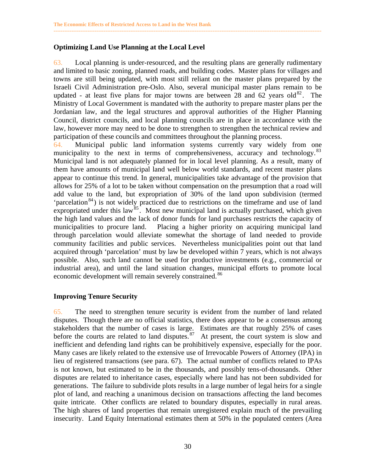#### **Optimizing Land Use Planning at the Local Level**

63. Local planning is under-resourced, and the resulting plans are generally rudimentary and limited to basic zoning, planned roads, and building codes. Master plans for villages and towns are still being updated, with most still reliant on the master plans prepared by the Israeli Civil Administration pre-Oslo. Also, several municipal master plans remain to be updated - at least five plans for major towns are between 28 and 62 years old<sup>82</sup>. The Ministry of Local Government is mandated with the authority to prepare master plans per the Jordanian law, and the legal structures and approval authorities of the Higher Planning Council, district councils, and local planning councils are in place in accordance with the law, however more may need to be done to strengthen to strengthen the technical review and participation of these councils and committees throughout the planning process.

<span id="page-36-0"></span>**------------------------------------------------------------------------------------------------------------------------------------------------------** 

64. Municipal public land information systems currently vary widely from one municipality to the next in terms of comprehensiveness, accuracy and technology.<sup>83</sup> Municipal land is not adequately planned for in local level planning. As a result, many of them have amounts of municipal land well below world standards, and recent master plans appear to continue this trend. In general, municipalities take advantage of the provision that allows for 25% of a lot to be taken without compensation on the presumption that a road will add value to the land, but expropriation of 30% of the land upon subdivision (termed 'parcelation<sup>84</sup>) is not widely practiced due to restrictions on the timeframe and use of land expropriated under this law<sup>85</sup>. Most new municipal land is actually purchased, which given the high land values and the lack of donor funds for land purchases restricts the capacity of municipalities to procure land. Placing a higher priority on acquiring municipal land through parcelation would alleviate somewhat the shortage of land needed to provide community facilities and public services. Nevertheless municipalities point out that land acquired through 'parcelation' must by law be developed within 7 years, which is not always possible. Also, such land cannot be used for productive investments (e.g., commercial or industrial area), and until the land situation changes, municipal efforts to promote local economic development will remain severely constrained.<sup>86</sup>

#### **Improving Tenure Security**

65. The need to strengthen tenure security is evident from the number of land related disputes. Though there are no official statistics, there does appear to be a consensus among stakeholders that the number of cases is large. Estimates are that roughly 25% of cases before the courts are related to land disputes. $87$  At present, the court system is slow and inefficient and defending land rights can be prohibitively expensive, especially for the poor. Many cases are likely related to the extensive use of Irrevocable Powers of Attorney (IPA) in lieu of registered transactions (see para. 67). The actual number of conflicts related to IPAs is not known, but estimated to be in the thousands, and possibly tens-of-thousands. Other disputes are related to inheritance cases, especially where land has not been subdivided for generations. The failure to subdivide plots results in a large number of legal heirs for a single plot of land, and reaching a unanimous decision on transactions affecting the land becomes quite intricate. Other conflicts are related to boundary disputes, especially in rural areas. The high shares of land properties that remain unregistered explain much of the prevailing insecurity. Land Equity International estimates them at 50% in the populated centers (Area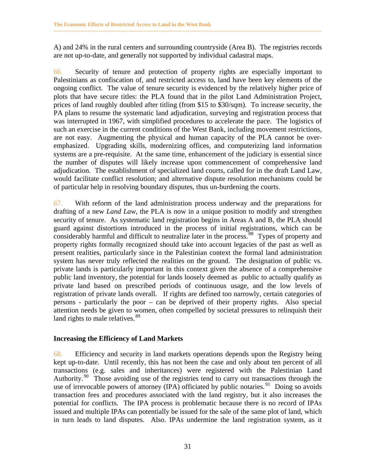A) and 24% in the rural centers and surrounding countryside (Area B). The registries records are not up-to-date, and generally not supported by individual cadastral maps.

<span id="page-37-0"></span>**------------------------------------------------------------------------------------------------------------------------------------------------------** 

66. Security of tenure and protection of property rights are especially important to Palestinians as confiscation of, and restricted access to, land have been key elements of the ongoing conflict. The value of tenure security is evidenced by the relatively higher price of plots that have secure titles: the PLA found that in the pilot Land Administration Project, prices of land roughly doubled after titling (from \$15 to \$30/sqm). To increase security, the PA plans to resume the systematic land adjudication, surveying and registration process that was interrupted in 1967, with simplified procedures to accelerate the pace. The logistics of such an exercise in the current conditions of the West Bank, including movement restrictions, are not easy. Augmenting the physical and human capacity of the PLA cannot be overemphasized. Upgrading skills, modernizing offices, and computerizing land information systems are a pre-requisite. At the same time, enhancement of the judiciary is essential since the number of disputes will likely increase upon commencement of comprehensive land adjudication. The establishment of specialized land courts, called for in the draft Land Law, would facilitate conflict resolution; and alternative dispute resolution mechanisms could be of particular help in resolving boundary disputes, thus un-burdening the courts.

67. With reform of the land administration process underway and the preparations for drafting of a new *Land Law*, the PLA is now in a unique position to modify and strengthen security of tenure. As systematic land registration begins in Areas A and B, the PLA should guard against distortions introduced in the process of initial registrations, which can be considerably harmful and difficult to neutralize later in the process.<sup>88</sup> Types of property and property rights formally recognized should take into account legacies of the past as well as present realities, particularly since in the Palestinian context the formal land administration system has never truly reflected the realities on the ground. The designation of public vs. private lands is particularly important in this context given the absence of a comprehensive public land inventory, the potential for lands loosely deemed as public to actually qualify as private land based on prescribed periods of continuous usage, and the low levels of registration of private lands overall. If rights are defined too narrowly, certain categories of persons - particularly the poor – can be deprived of their property rights. Also special attention needs be given to women, often compelled by societal pressures to relinquish their land rights to male relatives.<sup>89</sup>

#### **Increasing the Efficiency of Land Markets**

68. Efficiency and security in land markets operations depends upon the Registry being kept up-to-date. Until recently, this has not been the case and only about ten percent of all transactions (e.g. sales and inheritances) were registered with the Palestinian Land Authority.<sup>90</sup> Those avoiding use of the registries tend to carry out transactions through the use of irrevocable powers of attorney (IPA) officiated by public notaries.<sup>91</sup> Doing so avoids transaction fees and procedures associated with the land registry, but it also increases the potential for conflicts. The IPA process is problematic because there is no record of IPAs issued and multiple IPAs can potentially be issued for the sale of the same plot of land, which in turn leads to land disputes. Also. IPAs undermine the land registration system, as it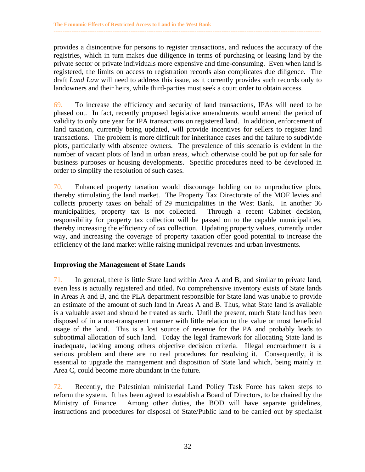provides a disincentive for persons to register transactions, and reduces the accuracy of the registries, which in turn makes due diligence in terms of purchasing or leasing land by the private sector or private individuals more expensive and time-consuming. Even when land is registered, the limits on access to registration records also complicates due diligence. The draft *Land Law* will need to address this issue, as it currently provides such records only to landowners and their heirs, while third-parties must seek a court order to obtain access.

<span id="page-38-0"></span>**------------------------------------------------------------------------------------------------------------------------------------------------------** 

69. To increase the efficiency and security of land transactions, IPAs will need to be phased out. In fact, recently proposed legislative amendments would amend the period of validity to only one year for IPA transactions on registered land. In addition, enforcement of land taxation, currently being updated, will provide incentives for sellers to register land transactions. The problem is more difficult for inheritance cases and the failure to subdivide plots, particularly with absentee owners. The prevalence of this scenario is evident in the number of vacant plots of land in urban areas, which otherwise could be put up for sale for business purposes or housing developments. Specific procedures need to be developed in order to simplify the resolution of such cases.

70. Enhanced property taxation would discourage holding on to unproductive plots, thereby stimulating the land market. The Property Tax Directorate of the MOF levies and collects property taxes on behalf of 29 municipalities in the West Bank. In another 36 municipalities, property tax is not collected. Through a recent Cabinet decision, responsibility for property tax collection will be passed on to the capable municipalities, thereby increasing the efficiency of tax collection. Updating property values, currently under way, and increasing the coverage of property taxation offer good potential to increase the efficiency of the land market while raising municipal revenues and urban investments.

#### **Improving the Management of State Lands**

71. In general, there is little State land within Area A and B, and similar to private land, even less is actually registered and titled. No comprehensive inventory exists of State lands in Areas A and B, and the PLA department responsible for State land was unable to provide an estimate of the amount of such land in Areas A and B. Thus, what State land is available is a valuable asset and should be treated as such. Until the present, much State land has been disposed of in a non-transparent manner with little relation to the value or most beneficial usage of the land.This is a lost source of revenue for the PA and probably leads to suboptimal allocation of such land. Today the legal framework for allocating State land is inadequate, lacking among others objective decision criteria. Illegal encroachment is a serious problem and there are no real procedures for resolving it. Consequently, it is essential to upgrade the management and disposition of State land which, being mainly in Area C, could become more abundant in the future.

72. Recently, the Palestinian ministerial Land Policy Task Force has taken steps to reform the system. It has been agreed to establish a Board of Directors, to be chaired by the Ministry of Finance. Among other duties, the BOD will have separate guidelines, instructions and procedures for disposal of State/Public land to be carried out by specialist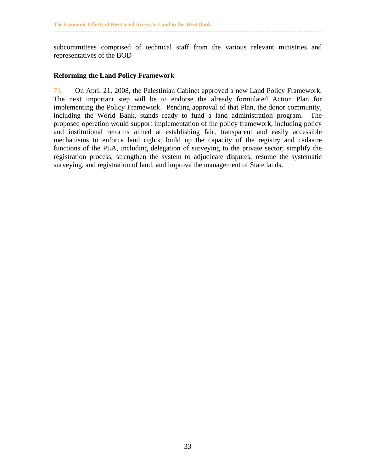subcommittees comprised of technical staff from the various relevant ministries and representatives of the BOD

<span id="page-39-0"></span>**------------------------------------------------------------------------------------------------------------------------------------------------------** 

#### **Reforming the Land Policy Framework**

73. On April 21, 2008, the Palestinian Cabinet approved a new Land Policy Framework. The next important step will be to endorse the already formulated Action Plan for implementing the Policy Framework. Pending approval of that Plan, the donor community, including the World Bank, stands ready to fund a land administration program. The proposed operation would support implementation of the policy framework, including policy and institutional reforms aimed at establishing fair, transparent and easily accessible mechanisms to enforce land rights; build up the capacity of the registry and cadastre functions of the PLA, including delegation of surveying to the private sector; simplify the registration process; strengthen the system to adjudicate disputes; resume the systematic surveying, and registration of land; and improve the management of State lands.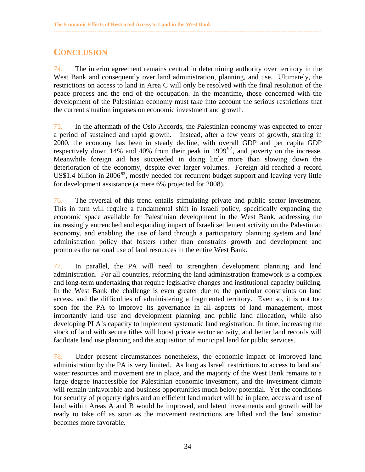## **CONCLUSION**

74. The interim agreement remains central in determining authority over territory in the West Bank and consequently over land administration, planning, and use. Ultimately, the restrictions on access to land in Area C will only be resolved with the final resolution of the peace process and the end of the occupation. In the meantime, those concerned with the development of the Palestinian economy must take into account the serious restrictions that the current situation imposes on economic investment and growth.

<span id="page-40-0"></span>**------------------------------------------------------------------------------------------------------------------------------------------------------** 

75. In the aftermath of the Oslo Accords, the Palestinian economy was expected to enter a period of sustained and rapid growth. Instead, after a few years of growth, starting in 2000, the economy has been in steady decline, with overall GDP and per capita GDP respectively down 14% and 40% from their peak in  $1999^{92}$ , and poverty on the increase. Meanwhile foreign aid has succeeded in doing little more than slowing down the deterioration of the economy, despite ever larger volumes. Foreign aid reached a record US\$1.4 billion in 2006<sup>93</sup>, mostly needed for recurrent budget support and leaving very little for development assistance (a mere 6% projected for 2008).

76. The reversal of this trend entails stimulating private and public sector investment. This in turn will require a fundamental shift in Israeli policy, specifically expanding the economic space available for Palestinian development in the West Bank, addressing the increasingly entrenched and expanding impact of Israeli settlement activity on the Palestinian economy, and enabling the use of land through a participatory planning system and land administration policy that fosters rather than constrains growth and development and promotes the rational use of land resources in the entire West Bank.

77. In parallel, the PA will need to strengthen development planning and land administration. For all countries, reforming the land administration framework is a complex and long-term undertaking that require legislative changes and institutional capacity building. In the West Bank the challenge is even greater due to the particular constraints on land access, and the difficulties of administering a fragmented territory. Even so, it is not too soon for the PA to improve its governance in all aspects of land management, most importantly land use and development planning and public land allocation, while also developing PLA's capacity to implement systematic land registration. In time, increasing the stock of land with secure titles will boost private sector activity, and better land records will facilitate land use planning and the acquisition of municipal land for public services.

78. Under present circumstances nonetheless, the economic impact of improved land administration by the PA is very limited. As long as Israeli restrictions to access to land and water resources and movement are in place, and the majority of the West Bank remains to a large degree inaccessible for Palestinian economic investment, and the investment climate will remain unfavorable and business opportunities much below potential. Yet the conditions for security of property rights and an efficient land market will be in place, access and use of land within Areas A and B would be improved, and latent investments and growth will be ready to take off as soon as the movement restrictions are lifted and the land situation becomes more favorable.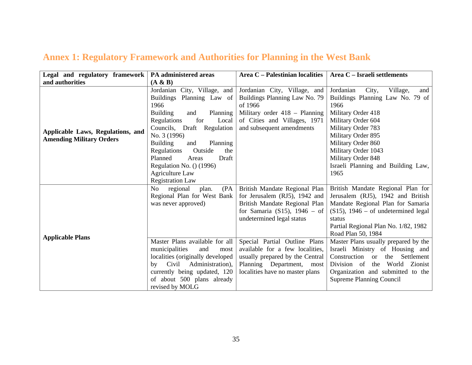## **Annex 1: Regulatory Framework and Authorities for Planning in the West Bank**

| Legal and regulatory framework<br>and authorities                    | PA administered areas<br>(A & B)                                                                                                                                                                                                                                                                                                                                      | Area C - Palestinian localities                                                                                                                                                                                                                                                                                                       | Area C - Israeli settlements                                                                                                                                                                                                                                                                                                                                                                                                                                              |
|----------------------------------------------------------------------|-----------------------------------------------------------------------------------------------------------------------------------------------------------------------------------------------------------------------------------------------------------------------------------------------------------------------------------------------------------------------|---------------------------------------------------------------------------------------------------------------------------------------------------------------------------------------------------------------------------------------------------------------------------------------------------------------------------------------|---------------------------------------------------------------------------------------------------------------------------------------------------------------------------------------------------------------------------------------------------------------------------------------------------------------------------------------------------------------------------------------------------------------------------------------------------------------------------|
| Applicable Laws, Regulations, and<br><b>Amending Military Orders</b> | City, Village, and<br>Jordanian<br>Buildings Planning Law of<br>1966<br><b>Building</b><br>Planning<br>and<br>for<br>Regulations<br>Local<br>Councils, Draft Regulation<br>No. 3 (1996)<br><b>Building</b><br>Planning<br>and<br>Outside<br>Regulations<br>the<br>Planned<br>Areas<br>Draft<br>Regulation No. () (1996)<br>Agriculture Law<br><b>Registration Law</b> | Jordanian City, Village, and<br>Buildings Planning Law No. 79<br>of 1966<br>Military order 418 - Planning<br>of Cities and Villages, 1971<br>and subsequent amendments                                                                                                                                                                | Jordanian<br>City,<br>Village,<br>and<br>Buildings Planning Law No. 79 of<br>1966<br>Military Order 418<br>Military Order 604<br>Military Order 783<br>Military Order 895<br>Military Order 860<br>Military Order 1043<br>Military Order 848<br>Israeli Planning and Building Law,<br>1965                                                                                                                                                                                |
| <b>Applicable Plans</b>                                              | No<br>(PA)<br>plan.<br>regional<br>Regional Plan for West Bank<br>was never approved)<br>Master Plans available for all<br>municipalities<br>and<br>most<br>localities (originally developed<br>by Civil Administration),<br>currently being updated, 120<br>of about 500 plans already<br>revised by MOLG                                                            | British Mandate Regional Plan<br>for Jerusalem (RJ5), 1942 and<br>British Mandate Regional Plan<br>for Samaria (S15), $1946 - of$<br>undetermined legal status<br>Special Partial Outline Plans<br>available for a few localities,<br>usually prepared by the Central<br>Planning Department, most<br>localities have no master plans | British Mandate Regional Plan for<br>Jerusalem (RJ5), 1942 and British<br>Mandate Regional Plan for Samaria<br>$(S15)$ , 1946 – of undetermined legal<br>status<br>Partial Regional Plan No. 1/82, 1982<br>Road Plan 50, 1984<br>Master Plans usually prepared by the<br>Israeli Ministry of Housing and<br>Construction<br>the<br>Settlement<br><b>or</b><br>Division of<br>the<br>World Zionist<br>Organization and submitted to the<br><b>Supreme Planning Council</b> |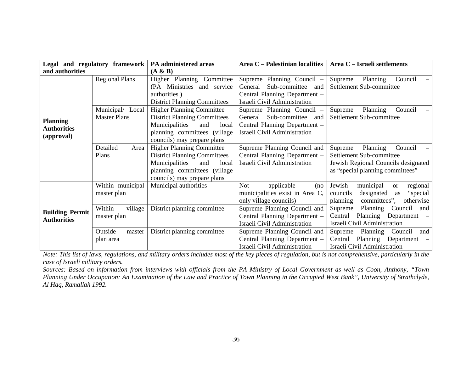| Legal and regulatory framework                      |                                         | PA administered areas                                                                                                                                                     | Area C - Palestinian localities                                                                                                  | Area C - Israeli settlements                                                                                                          |  |
|-----------------------------------------------------|-----------------------------------------|---------------------------------------------------------------------------------------------------------------------------------------------------------------------------|----------------------------------------------------------------------------------------------------------------------------------|---------------------------------------------------------------------------------------------------------------------------------------|--|
| and authorities                                     |                                         | (A & B)                                                                                                                                                                   |                                                                                                                                  |                                                                                                                                       |  |
| <b>Planning</b><br><b>Authorities</b><br>(approval) | <b>Regional Plans</b>                   | Higher Planning Committee<br>(PA Ministries and service<br>authorities.)<br><b>District Planning Committees</b>                                                           | Supreme Planning Council –<br>Sub-committee<br>General<br>and<br>Central Planning Department -<br>Israeli Civil Administration   | Supreme<br>Planning<br>Council<br>Settlement Sub-committee                                                                            |  |
|                                                     | Municipal/ Local<br><b>Master Plans</b> | <b>Higher Planning Committee</b><br><b>District Planning Committees</b><br>Municipalities<br>and<br>local<br>planning committees (village)<br>councils) may prepare plans | Supreme Planning Council –<br>Sub-committee<br>General<br>and 1<br>Central Planning Department -<br>Israeli Civil Administration | Supreme<br>Planning<br>Council<br>Settlement Sub-committee                                                                            |  |
|                                                     | Detailed<br>Area<br>Plans               | <b>Higher Planning Committee</b><br><b>District Planning Committees</b><br>Municipalities<br>and<br>local<br>planning committees (village)<br>councils) may prepare plans | Supreme Planning Council and<br>Central Planning Department -<br>Israeli Civil Administration                                    | Planning<br>Council<br>Supreme<br>Settlement Sub-committee<br>Jewish Regional Councils designated<br>as "special planning committees" |  |
| <b>Building Permit</b><br><b>Authorities</b>        | Within municipal<br>master plan         | Municipal authorities                                                                                                                                                     | applicable<br>Not<br>(no<br>municipalities exist in Area C,<br>only village councils)                                            | municipal<br>Jewish<br>regional<br><b>or</b><br>designated<br>"special<br>councils<br>as<br>committees",<br>otherwise<br>planning     |  |
|                                                     | Within<br>village<br>master plan        | District planning committee                                                                                                                                               | Supreme Planning Council and<br>Central Planning Department -<br>Israeli Civil Administration                                    | Council<br>Planning<br>Supreme<br>and<br>Central<br>Planning Department -<br>Israeli Civil Administration                             |  |
|                                                     | Outside<br>master<br>plan area          | District planning committee                                                                                                                                               | Supreme Planning Council and<br>Central Planning Department -<br>Israeli Civil Administration                                    | Supreme<br>Planning<br>Council<br>and<br>Planning<br>Department –<br>Central<br>Israeli Civil Administration                          |  |

*Note: This list of laws, regulations, and military orders includes most of the key pieces of regulation, but is not comprehensive, particularly in the case of Israeli military orders.* 

*Sources: Based on information from interviews with officials from the PA Ministry of Local Government as well as Coon, Anthony, "Town Planning Under Occupation: An Examination of the Law and Practice of Town Planning in the Occupied West Bank", University of Strathclyde, Al Haq, Ramallah 1992.*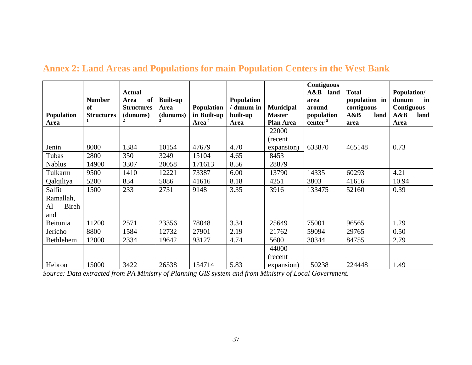| <b>Population</b><br>Area       | <b>Number</b><br>of<br><b>Structures</b> | <b>Actual</b><br>of<br>Area<br><b>Structures</b><br>(dunums) | <b>Built-up</b><br>Area<br>(dunums) | <b>Population</b><br>in Built-up<br>Area <sup>4</sup> | <b>Population</b><br>/ dunum in<br>built-up<br>Area | <b>Municipal</b><br><b>Master</b><br>Plan Area | <b>Contiguous</b><br>$A\&B$<br>land<br>area<br>around<br>population<br>center <sup>5</sup> | <b>Total</b><br>population in<br>contiguous<br>A&B<br>land<br>area | <b>Population/</b><br>dunum<br>in<br><b>Contiguous</b><br>A&B<br>land<br>Area |
|---------------------------------|------------------------------------------|--------------------------------------------------------------|-------------------------------------|-------------------------------------------------------|-----------------------------------------------------|------------------------------------------------|--------------------------------------------------------------------------------------------|--------------------------------------------------------------------|-------------------------------------------------------------------------------|
|                                 |                                          |                                                              |                                     |                                                       |                                                     | 22000                                          |                                                                                            |                                                                    |                                                                               |
| Jenin                           | 8000                                     | 1384                                                         | 10154                               | 47679                                                 | 4.70                                                | (recent)<br>expansion)                         | 633870                                                                                     | 465148                                                             | 0.73                                                                          |
| Tubas                           | 2800                                     | 350                                                          | 3249                                | 15104                                                 | 4.65                                                | 8453                                           |                                                                                            |                                                                    |                                                                               |
| <b>Nablus</b>                   | 14900                                    | 3307                                                         | 20058                               | 171613                                                | 8.56                                                | 28879                                          |                                                                                            |                                                                    |                                                                               |
| Tulkarm                         | 9500                                     | 1410                                                         | 12221                               | 73387                                                 | 6.00                                                | 13790                                          | 14335                                                                                      | 60293                                                              | 4.21                                                                          |
| Qalqiliya                       | 5200                                     | 834                                                          | 5086                                | 41616                                                 | 8.18                                                | 4251                                           | 3803                                                                                       | 41616                                                              | 10.94                                                                         |
| Salfit                          | 1500                                     | 233                                                          | 2731                                | 9148                                                  | 3.35                                                | 3916                                           | 133475                                                                                     | 52160                                                              | 0.39                                                                          |
| Ramallah,<br>Bireh<br>Al<br>and |                                          |                                                              |                                     |                                                       |                                                     |                                                |                                                                                            |                                                                    |                                                                               |
| Beitunia                        | 11200                                    | 2571                                                         | 23356                               | 78048                                                 | 3.34                                                | 25649                                          | 75001                                                                                      | 96565                                                              | 1.29                                                                          |
| Jericho                         | 8800                                     | 1584                                                         | 12732                               | 27901                                                 | 2.19                                                | 21762                                          | 59094                                                                                      | 29765                                                              | 0.50                                                                          |
| Bethlehem                       | 12000                                    | 2334                                                         | 19642                               | 93127                                                 | 4.74                                                | 5600                                           | 30344                                                                                      | 84755                                                              | 2.79                                                                          |
| Hebron                          | 15000                                    | 3422                                                         | 26538                               | 154714                                                | 5.83                                                | 44000<br>(recent)<br>expansion)                | 150238                                                                                     | 224448                                                             | 1.49                                                                          |

<span id="page-43-0"></span>*Source: Data extracted from PA Ministry of Planning GIS system and from Ministry of Local Government.*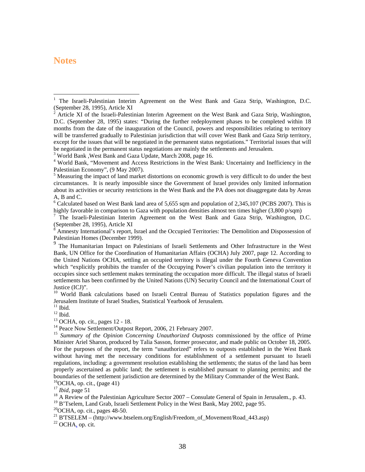#### <span id="page-44-0"></span>**Notes**

 $\overline{a}$ 

<sup>3</sup> World Bank, West Bank and Gaza Update, March 2008, page 16.

 $6$  Calculated based on West Bank land area of 5,655 sqm and population of 2,345,107 (PCBS 2007). This is

highly favorable in comparison to Gaza with population densities almost ten times higher (3,800 p/sqm)<br><sup>7</sup> The Israeli-Palestinian Interim Agreement on the West Bank and Gaza Strip, Washington, D.C. (September 28, 1995), Article XI

 $8$  Amnesty International's report, Israel and the Occupied Territories: The Demolition and Dispossession of Palestinian Homes (December 1999).

<sup>9</sup> The Humanitarian Impact on Palestinians of Israeli Settlements and Other Infrastructure in the West Bank, UN Office for the Coordination of Humanitarian Affairs (OCHA) July 2007, page 12. According to the United Nations OCHA, settling an occupied territory is illegal under the Fourth Geneva Convention which "explicitly prohibits the transfer of the Occupying Power's civilian population into the territory it occupies since such settlement makes terminating the occupation more difficult. The illegal status of Israeli settlements has been confirmed by the United Nations (UN) Security Council and the International Court of Justice (ICJ)".

<sup>10</sup> World Bank calculations based on Israeli Central Bureau of Statistics population figures and the Jerusalem Institute of Israel Studies, Statistical Yearbook of Jerusalem.

11 Ibid*.* 12 Ibid.

 $^{13}$  OCHA, op. cit., pages 12 - 18.<br> $^{14}$  Peace Now Settlement/Outpost Report, 2006, 21 February 2007.

<sup>15</sup> Summary of the Opinion Concerning Unauthorized Outposts commissioned by the office of Prime Minister Ariel Sharon, produced by Talia Sasson, former prosecutor, and made public on October 18, 2005. For the purposes of the report, the term "unauthorized" refers to outposts established in the West Bank without having met the necessary conditions for establishment of a settlement pursuant to Israeli regulations, including: a government resolution establishing the settlements; the status of the land has been properly ascertained as public land; the settlement is established pursuant to planning permits; and the boundaries of the settlement jurisdiction are determined by the Military Commander of the West Bank.

<sup>16</sup>OCHA, op. cit., (page 41)<sup>17</sup> *Ibid*. page 51

<sup>18</sup> A Review of the Palestinian Agriculture Sector 2007 – Consulate General of Spain in Jerusalem., p. 43.

<sup>19</sup> B'Tselem, Land Grab, Israeli Settlement Policy in the West Bank, May 2002, page 95.

 $20$ OCHA, op. cit., pages 48-50.

<sup>21</sup> B'TSELEM – (http://www.btselem.org/English/Freedom\_of\_Movement/Road\_443.asp) <sup>22</sup> OCHA, op. cit.

<sup>1</sup> The Israeli-Palestinian Interim Agreement on the West Bank and Gaza Strip, Washington, D.C. (September 28, 1995), Article XI

<sup>2</sup> Article XI of the Israeli-Palestinian Interim Agreement on the West Bank and Gaza Strip, Washington, D.C. (September 28, 1995) states: "During the further redeployment phases to be completed within 18 months from the date of the inauguration of the Council, powers and responsibilities relating to territory will be transferred gradually to Palestinian jurisdiction that will cover West Bank and Gaza Strip territory, except for the issues that will be negotiated in the permanent status negotiations." Territorial issues that will be negotiated in the permanent status negotiations are mainly the settlements and Jerusalem.

World Bank, "Movement and Access Restrictions in the West Bank: Uncertainty and Inefficiency in the Palestinian Economy", (9 May 2007).

<sup>&</sup>lt;sup>5</sup> Measuring the impact of land market distortions on economic growth is very difficult to do under the best circumstances. It is nearly impossible since the Government of Israel provides only limited information about its activities or security restrictions in the West Bank and the PA does not disaggregate data by Areas A, B and C.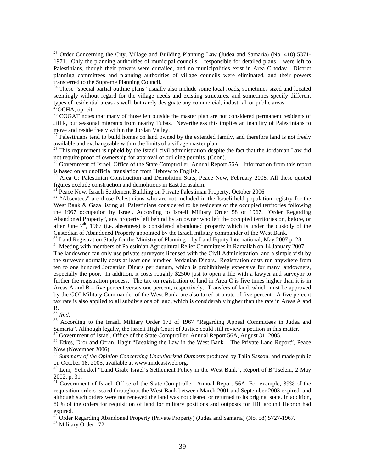<sup>23</sup> Order Concerning the City, Village and Building Planning Law (Judea and Samaria) (No. 418) 5371-1971. Only the planning authorities of municipal councils – responsible for detailed plans – were left to Palestinians, though their powers were curtailed, and no municipalities exist in Area C today. District planning committees and planning authorities of village councils were eliminated, and their powers transferred to the Supreme Planning Council.

<sup>24</sup> These "special partial outline plans" usually also include some local roads, sometimes sized and located seemingly without regard for the village needs and existing structures, and sometimes specify different types of residential areas as well, but rarely designate any commercial, industrial, or public areas. <sup>25</sup>OCHA, op. cit.

<sup>26</sup> COGAT notes that many of those left outside the master plan are not considered permanent residents of Jiflik, but seasonal migrants from nearby Tubas. Nevertheless this implies an inability of Palestinians to move and reside freely within the Jordan Valley.

 $27$  Palestinians tend to build homes on land owned by the extended family, and therefore land is not freely available and exchangeable within the limits of a village master plan.

<sup>28</sup> This requirement is upheld by the Israeli civil administration despite the fact that the Jordanian Law did not require proof of ownership for approval of building permits. (Coon).

<sup>29</sup> Government of Israel, Office of the State Comptroller, Annual Report 56A. Information from this report is based on an unofficial translation from Hebrew to English.

<sup>30</sup> Area C: Palestinian Construction and Demolition Stats, Peace Now, February 2008. All these quoted figures exclude construction and demolitions in East Jerusalem.<br><sup>31</sup> Peace Now, Israeli Settlement Building on Private Palestinian Property, October 2006

<sup>32</sup> "Absentees" are those Palestinians who are not included in the Israeli-held population registry for the West Bank & Gaza listing all Palestinians considered to be residents of the occupied territories following the 1967 occupation by Israel. According to Israeli Military Order 58 of 1967, "Order Regarding Abandoned Property", any property left behind by an owner who left the occupied territories on, before, or after June  $7<sup>th</sup>$ , 1967 (i.e. absentees) is considered abandoned property which is under the custody of the Custodian of Abandoned Property appointed by the Israeli military commander of the West Bank.

 $33$  Land Registration Study for the Ministry of Planning – by Land Equity International, May 2007 p. 28.

<sup>34</sup> Meeting with members of Palestinian Agricultural Relief Committees in Ramallah on 14 January 2007. The landowner can only use private surveyors licensed with the Civil Administration, and a simple visit by the surveyor normally costs at least one hundred Jordanian Dinars. Registration costs run anywhere from ten to one hundred Jordanian Dinars per dunum, which is prohibitively expensive for many landowners, especially the poor. In addition, it costs roughly \$2500 just to open a file with a lawyer and surveyor to further the registration process. The tax on registration of land in Area C is five times higher than it is in Areas A and B – five percent versus one percent, respectively. Transfers of land, which must be approved by the GOI Military Commander of the West Bank, are also taxed at a rate of five percent. A five percent tax rate is also applied to all subdivisions of land, which is considerably higher than the rate in Areas A and

 $rac{B}{^{35}}$  Ibid.

<sup>36</sup> According to the Israeli Military Order 172 of 1967 "Regarding Appeal Committees in Judea and Samaria". Although legally, the Israeli High Court of Justice could still review a petition in this matter.

<sup>37</sup> Government of Israel, Office of the State Comptroller, Annual Report 56A, August 31, 2005.<br><sup>38</sup> Etkes, Dror and Ofran, Hagit "Breaking the Law in the West Bank – The Private Land Report", Peace Now (November 2006).

<sup>39</sup> Summary of the Opinion Concerning Unauthorized Outposts produced by Talia Sasson, and made public on October 18, 2005, available at www.mideastweb.org.

<sup>40</sup> Lein, Yehezkel "Land Grab: Israel's Settlement Policy in the West Bank", Report of B'Tselem, 2 May 2002, p. 31.

<sup>41</sup> Government of Israel, Office of the State Comptroller, Annual Report 56A. For example, 39% of the requisition orders issued throughout the West Bank between March 2001 and September 2003 expired, and although such orders were not renewed the land was not cleared or returned to its original state. In addition, 80% of the orders for requisition of land for military positions and outposts for IDF around Hebron had expired.

 $^{42}$  Order Regarding Abandoned Property (Private Property) (Judea and Samaria) (No. 58) 5727-1967.

43 Military Order 172.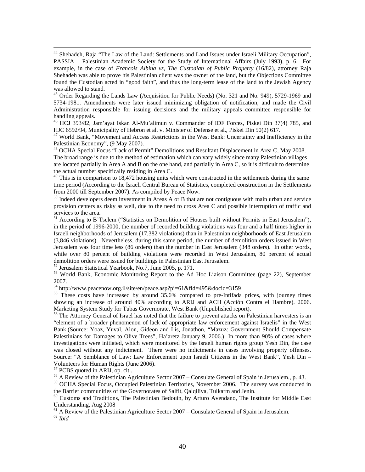44 Shehadeh, Raja "The Law of the Land: Settlements and Land Issues under Israeli Military Occupation", PASSIA – Palestinian Academic Society for the Study of International Affairs (July 1993), p. 6. For example, in the case of *Francois Albina vs, The Custodian of Public Property* (16/82), attorney Raja Shehadeh was able to prove his Palestinian client was the owner of the land, but the Objections Committee found the Custodian acted in "good faith", and thus the long-term lease of the land to the Jewish Agency was allowed to stand.

<sup>45</sup> Order Regarding the Lands Law (Acquisition for Public Needs) (No. 321 and No. 949), 5729-1969 and 5734-1981. Amendments were later issued minimizing obligation of notification, and made the Civil Administration responsible for issuing decisions and the military appeals committee responsible for handling appeals.

46 HCJ 393/82, Jam'ayat Iskan Al-Mu'alimun v. Commander of IDF Forces, Piskei Din 37(4) 785, and HJC 6592/94, Municipality of Hebron et al. v. Minister of Defense et al., Piskei Din 50(2) 617.

<sup>47</sup> World Bank, "Movement and Access Restrictions in the West Bank: Uncertainty and Inefficiency in the Palestinian Economy", (9 May 2007).

<sup>48</sup> OCHA Special Focus "Lack of Permit" Demolitions and Resultant Displacement in Area C, May 2008. The broad range is due to the method of estimation which can vary widely since many Palestinian villages are located partially in Area A and B on the one hand, and partially in Area C, so it is difficult to determine the actual number specifically residing in Area C.

 $49$  This is in comparison to 18,472 housing units which were constructed in the settlements during the same time period (According to the Israeli Central Bureau of Statistics, completed construction in the Settlements from 2000 till September 2007). As compiled by Peace Now.

<sup>50</sup> Indeed developers deem investment in Areas A or B that are not contiguous with main urban and service provision centers as risky as well, due to the need to cross Area C and possible interruption of traffic and services to the area.

<sup>51</sup> According to B'Tselem ("Statistics on Demolition of Houses built without Permits in East Jerusalem"), in the period of 1996-2000, the number of recorded building violations was four and a half times higher in Israeli neighborhoods of Jerusalem (17,382 violations) than in Palestinian neighborhoods of East Jerusalem (3,846 violations). Nevertheless, during this same period, the number of demolition orders issued in West Jerusalem was four time less (86 orders) than the number in East Jerusalem (348 orders). In other words, while over 80 percent of building violations were recorded in West Jerusalem, 80 percent of actual demolition orders were issued for buildings in Palestinian East Jerusalem.

52 Jerusalem Statistical Yearbook, No.7, June 2005, p. 171.

<sup>53</sup> World Bank, Economic Monitoring Report to the Ad Hoc Liaison Committee (page 22), September 2007.<br>
<sup>54</sup> http://www.peacenow.org.il/site/en/peace.asp?pi=61&fld=495&docid=3159

 $55$  These costs have increased by around  $35.6\%$  compared to pre-Intifada prices, with journey times showing an increase of around 40% according to ARIJ and ACH (Acción Contra el Hambre). 2006. Marketing System Study for Tubas Governorate, West Bank (Unpublished report).

<sup>56</sup> The Attorney General of Israel has noted that the failure to prevent attacks on Palestinian harvesters is an "element of a broader phenomenon of lack of appropriate law enforcement against Israelis" in the West Bank.(Source: Yoaz, Yuval, Alon, Gideon and Lis, Jonathon, "Mazuz: Government Should Compensate Palestinians for Damages to Olive Trees", Ha'aretz January 9, 2006.) In more than 90% of cases where investigations were initiated, which were monitored by the Israeli human rights group Yesh Din, the case was closed without any indictment. There were no indictments in cases involving property offenses. Source: "A Semblance of Law: Law Enforcement upon Israeli Citizens in the West Bank", Yesh Din – Volunteers for Human Rights (June 2006).<br><sup>57</sup> PCBS quoted in ARIJ, op. cit..

<sup>58</sup> A Review of the Palestinian Agriculture Sector 2007 – Consulate General of Spain in Jerusalem., p. 43.

<sup>59</sup> OCHA Special Focus, Occupied Palestinian Territories, November 2006. The survey was conducted in the Barrier communities of the Governorates of Salfit, Qalqiliya, Tulkarm and Jenin.

<sup>60</sup> Customs and Traditions, The Palestinian Bedouin, by Arturo Avendano, The Institute for Middle East Understanding, Aug 2008

 $61$  A Review of the Palestinian Agriculture Sector 2007 – Consulate General of Spain in Jerusalem.

<sup>62</sup> *Ibid*